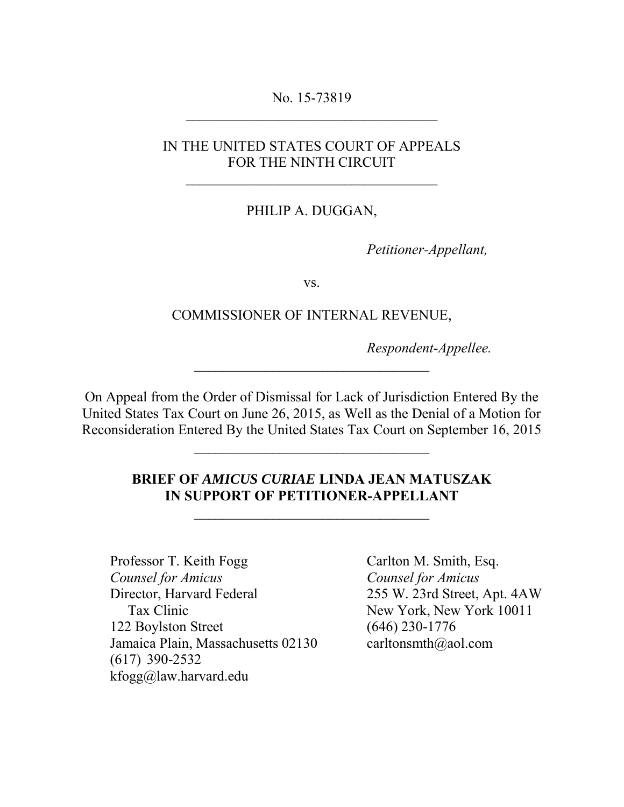No. 15-73819 \_\_\_\_\_\_\_\_\_\_\_\_\_\_\_\_\_\_\_\_\_\_\_\_\_\_\_\_\_\_\_\_\_\_\_\_\_\_

# IN THE UNITED STATES COURT OF APPEALS FOR THE NINTH CIRCUIT

 $\overline{\phantom{a}}$  ,  $\overline{\phantom{a}}$  ,  $\overline{\phantom{a}}$  ,  $\overline{\phantom{a}}$  ,  $\overline{\phantom{a}}$  ,  $\overline{\phantom{a}}$  ,  $\overline{\phantom{a}}$  ,  $\overline{\phantom{a}}$  ,  $\overline{\phantom{a}}$  ,  $\overline{\phantom{a}}$  ,  $\overline{\phantom{a}}$  ,  $\overline{\phantom{a}}$  ,  $\overline{\phantom{a}}$  ,  $\overline{\phantom{a}}$  ,  $\overline{\phantom{a}}$  ,  $\overline{\phantom{a}}$ 

## PHILIP A. DUGGAN,

*Petitioner-Appellant,*

vs.

#### COMMISSIONER OF INTERNAL REVENUE,

*Respondent-Appellee.*

On Appeal from the Order of Dismissal for Lack of Jurisdiction Entered By the United States Tax Court on June 26, 2015, as Well as the Denial of a Motion for Reconsideration Entered By the United States Tax Court on September 16, 2015

\_\_\_\_\_\_\_\_\_\_\_\_\_\_\_\_\_\_\_\_\_\_\_\_\_\_\_\_\_\_\_\_\_

\_\_\_\_\_\_\_\_\_\_\_\_\_\_\_\_\_\_\_\_\_\_\_\_\_\_\_\_\_\_\_\_\_

#### **BRIEF OF** *AMICUS CURIAE* **LINDA JEAN MATUSZAK IN SUPPORT OF PETITIONER-APPELLANT**

\_\_\_\_\_\_\_\_\_\_\_\_\_\_\_\_\_\_\_\_\_\_\_\_\_\_\_\_\_\_\_\_\_

Professor T. Keith Fogg **Carlton M. Smith, Esq.** *Counsel for Amicus Counsel for Amicus*  Director, Harvard Federal 255 W. 23rd Street, Apt. 4AW Tax Clinic New York, New York 10011 122 Boylston Street (646) 230-1776 Jamaica Plain, Massachusetts 02130 [carltonsmth@aol.com](mailto:carltonsmth@aol.com) (617) 390-2532 kfogg@law.harvard.edu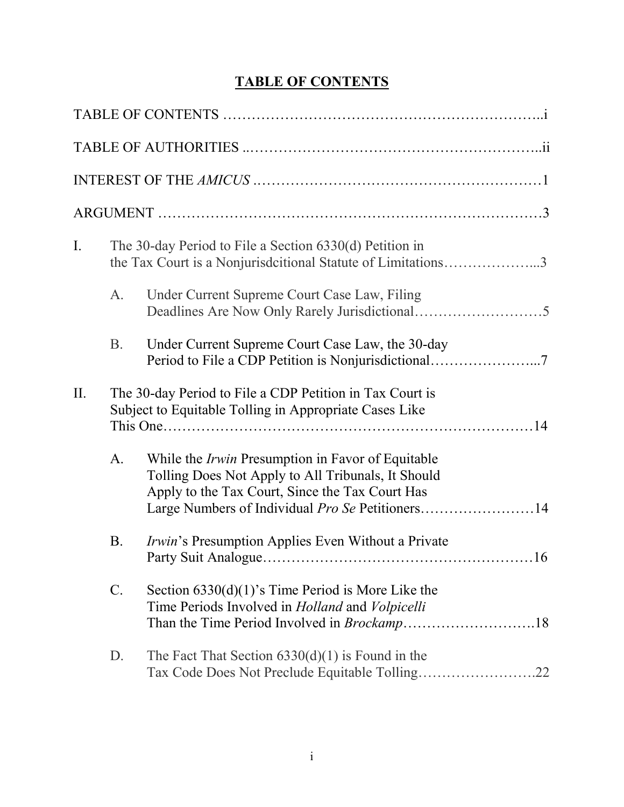# **TABLE OF CONTENTS**

| $\mathbf{I}$ . |                 | The 30-day Period to File a Section 6330(d) Petition in<br>the Tax Court is a Nonjurisdictional Statute of Limitations3                                                                                                      |
|----------------|-----------------|------------------------------------------------------------------------------------------------------------------------------------------------------------------------------------------------------------------------------|
|                | A.              | Under Current Supreme Court Case Law, Filing                                                                                                                                                                                 |
|                | <b>B.</b>       | Under Current Supreme Court Case Law, the 30-day                                                                                                                                                                             |
| II.            |                 | The 30-day Period to File a CDP Petition in Tax Court is<br>Subject to Equitable Tolling in Appropriate Cases Like                                                                                                           |
|                | A.              | While the <i>Irwin</i> Presumption in Favor of Equitable<br>Tolling Does Not Apply to All Tribunals, It Should<br>Apply to the Tax Court, Since the Tax Court Has<br>Large Numbers of Individual <i>Pro Se</i> Petitioners14 |
|                | <b>B</b> .      | <i>Irwin's</i> Presumption Applies Even Without a Private<br>.16                                                                                                                                                             |
|                | $\mathcal{C}$ . | Section $6330(d)(1)$ 's Time Period is More Like the<br>Time Periods Involved in <i>Holland</i> and <i>Volpicelli</i>                                                                                                        |
|                | $D_{\cdot}$     | The Fact That Section $6330(d)(1)$ is Found in the<br>Tax Code Does Not Preclude Equitable Tolling22                                                                                                                         |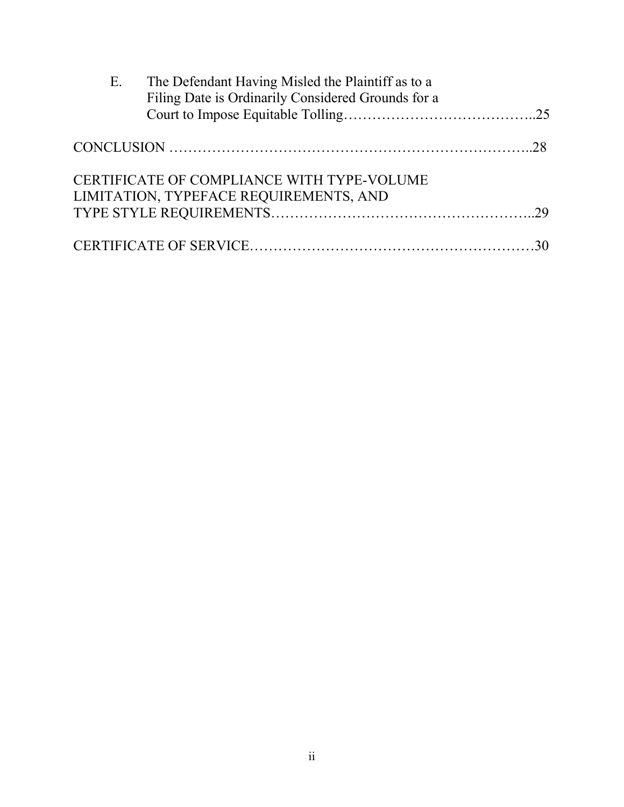| E. | The Defendant Having Misled the Plaintiff as to a  |  |
|----|----------------------------------------------------|--|
|    | Filing Date is Ordinarily Considered Grounds for a |  |
|    |                                                    |  |
|    |                                                    |  |
|    | CERTIFICATE OF COMPLIANCE WITH TYPE-VOLUME         |  |
|    | LIMITATION, TYPEFACE REQUIREMENTS, AND             |  |
|    |                                                    |  |
|    |                                                    |  |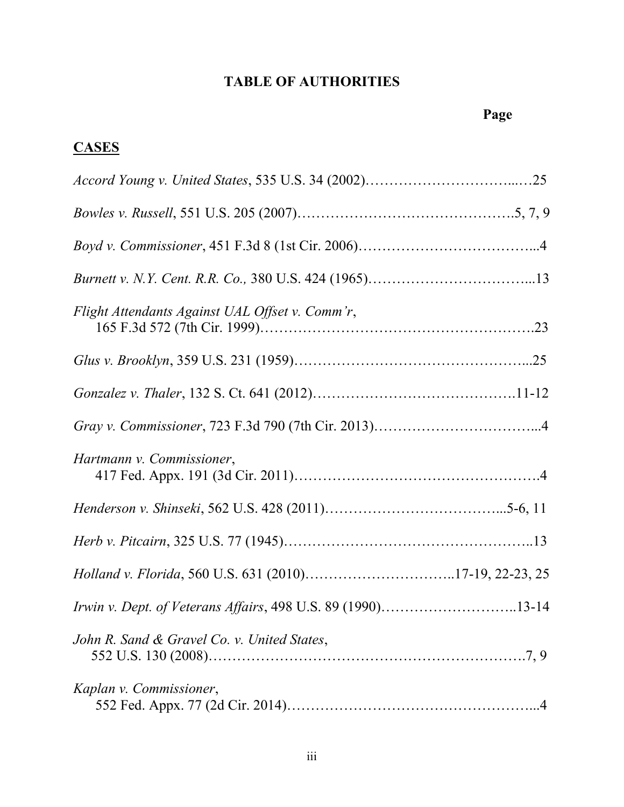# **TABLE OF AUTHORITIES**

#### **Page**

# **CASES**

| Flight Attendants Against UAL Offset v. Comm'r,<br>165 F.3d 572 (7th Cir. 1999). |  |
|----------------------------------------------------------------------------------|--|
|                                                                                  |  |
|                                                                                  |  |
|                                                                                  |  |
| Hartmann v. Commissioner,                                                        |  |
|                                                                                  |  |
|                                                                                  |  |
| Holland v. Florida, 560 U.S. 631 (2010)17-19, 22-23, 25                          |  |
| Irwin v. Dept. of Veterans Affairs, 498 U.S. 89 (1990)13-14                      |  |
| John R. Sand & Gravel Co. v. United States,                                      |  |
| Kaplan v. Commissioner,                                                          |  |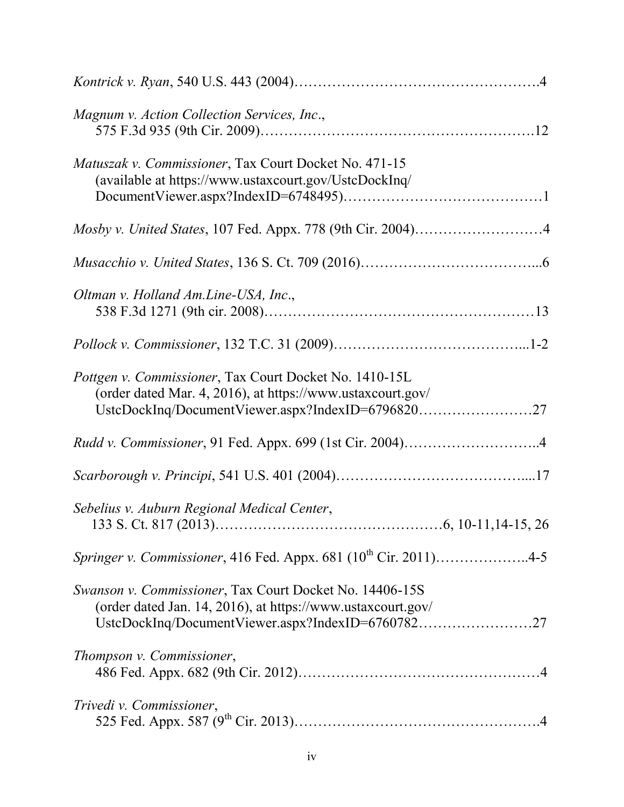| Magnum v. Action Collection Services, Inc.,                                                                                                                                 |
|-----------------------------------------------------------------------------------------------------------------------------------------------------------------------------|
| Matuszak v. Commissioner, Tax Court Docket No. 471-15<br>(available at https://www.ustaxcourt.gov/UstcDockInq/                                                              |
|                                                                                                                                                                             |
|                                                                                                                                                                             |
| Oltman v. Holland Am.Line-USA, Inc.,                                                                                                                                        |
|                                                                                                                                                                             |
| Pottgen v. Commissioner, Tax Court Docket No. 1410-15L<br>(order dated Mar. 4, 2016), at https://www.ustaxcourt.gov/<br>UstcDockInq/DocumentViewer.aspx?IndexID=679682027   |
| Rudd v. Commissioner, 91 Fed. Appx. 699 (1st Cir. 2004)4                                                                                                                    |
|                                                                                                                                                                             |
| Sebelius v. Auburn Regional Medical Center,                                                                                                                                 |
| Springer v. Commissioner, 416 Fed. Appx. 681 (10 <sup>th</sup> Cir. 2011)4-5                                                                                                |
| Swanson v. Commissioner, Tax Court Docket No. 14406-15S<br>(order dated Jan. 14, 2016), at https://www.ustaxcourt.gov/<br>UstcDockInq/DocumentViewer.aspx?IndexID=676078227 |
| Thompson v. Commissioner,                                                                                                                                                   |
| Trivedi v. Commissioner,                                                                                                                                                    |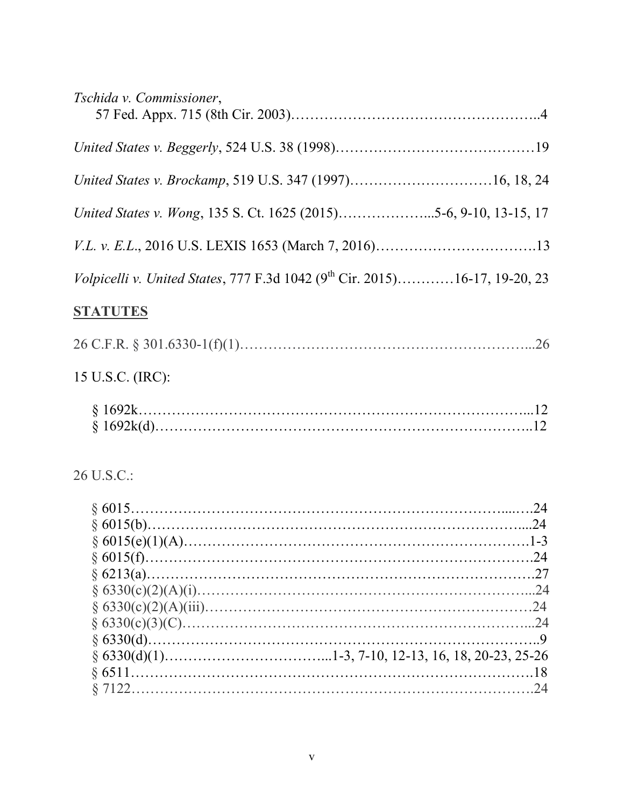| Tschida v. Commissioner,                                                               |  |
|----------------------------------------------------------------------------------------|--|
|                                                                                        |  |
| United States v. Brockamp, 519 U.S. 347 (1997)16, 18, 24                               |  |
| United States v. Wong, 135 S. Ct. 1625 (2015)5-6, 9-10, 13-15, 17                      |  |
|                                                                                        |  |
| Volpicelli v. United States, 777 F.3d 1042 (9 <sup>th</sup> Cir. 2015)16-17, 19-20, 23 |  |
| <b>STATUTES</b>                                                                        |  |
|                                                                                        |  |
| 15 U.S.C. (IRC):                                                                       |  |
|                                                                                        |  |
| 26 U.S.C.:                                                                             |  |
|                                                                                        |  |
|                                                                                        |  |
|                                                                                        |  |
|                                                                                        |  |
|                                                                                        |  |

 § 6330(c)(3)(C)………………………………………………………………...24 § 6330(d)………………………………………………………………………..9  $§ 6330(d)(1)$ ……………………………………………1-3, 7-10, 12-13, 16, 18, 20-23, 25-26 § 6511………………………………………………………………………….18 § 7122………………………………………………………………………….24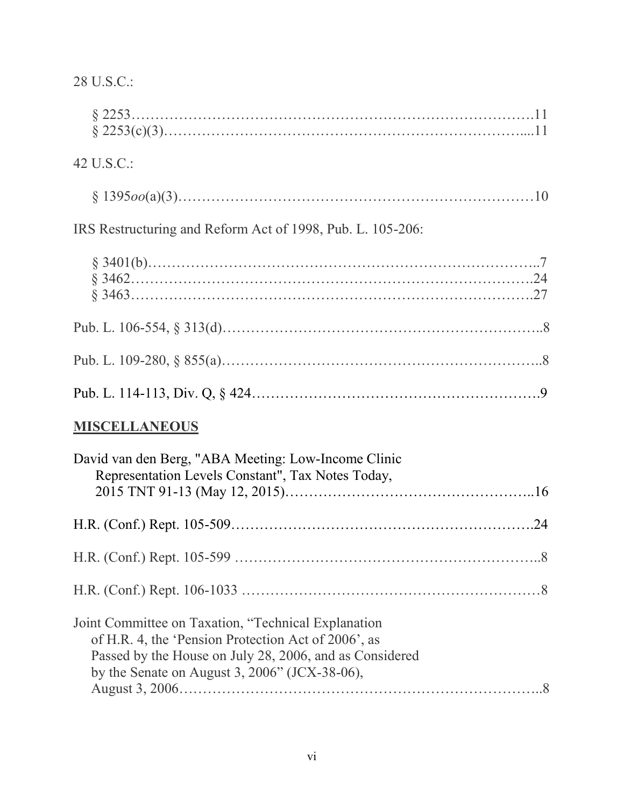| 28 U.S.C.:                                                                                                                                                                                                                |
|---------------------------------------------------------------------------------------------------------------------------------------------------------------------------------------------------------------------------|
|                                                                                                                                                                                                                           |
| 42 U.S.C.:                                                                                                                                                                                                                |
|                                                                                                                                                                                                                           |
| IRS Restructuring and Reform Act of 1998, Pub. L. 105-206:                                                                                                                                                                |
|                                                                                                                                                                                                                           |
|                                                                                                                                                                                                                           |
|                                                                                                                                                                                                                           |
|                                                                                                                                                                                                                           |
| <b>MISCELLANEOUS</b>                                                                                                                                                                                                      |
| David van den Berg, "ABA Meeting: Low-Income Clinic<br>Representation Levels Constant", Tax Notes Today,                                                                                                                  |
|                                                                                                                                                                                                                           |
|                                                                                                                                                                                                                           |
|                                                                                                                                                                                                                           |
| Joint Committee on Taxation, "Technical Explanation<br>of H.R. 4, the 'Pension Protection Act of 2006', as<br>Passed by the House on July 28, 2006, and as Considered<br>by the Senate on August 3, $2006$ " (JCX-38-06), |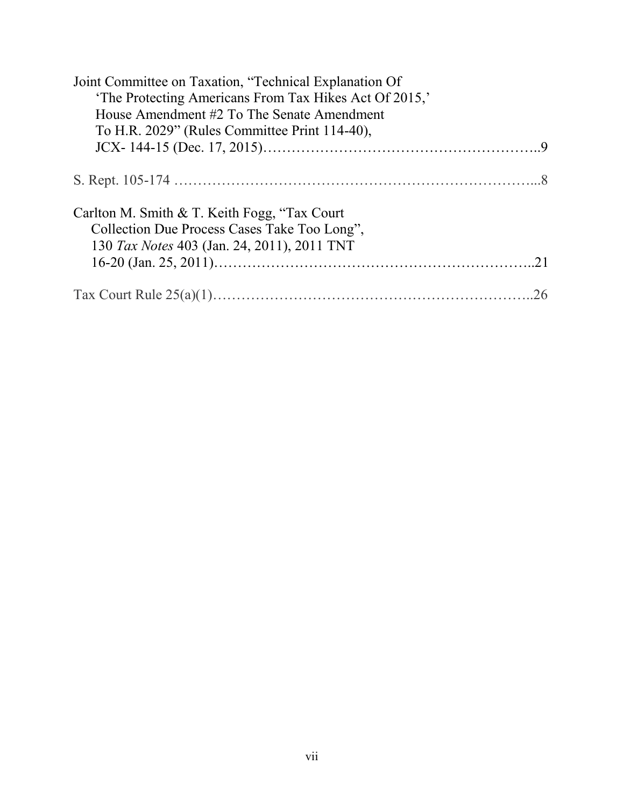| Joint Committee on Taxation, "Technical Explanation Of                                        |  |
|-----------------------------------------------------------------------------------------------|--|
| 'The Protecting Americans From Tax Hikes Act Of 2015,'                                        |  |
| House Amendment #2 To The Senate Amendment                                                    |  |
| To H.R. 2029" (Rules Committee Print 114-40),                                                 |  |
|                                                                                               |  |
|                                                                                               |  |
| Carlton M. Smith & T. Keith Fogg, "Tax Court"<br>Collection Due Process Cases Take Too Long", |  |
| 130 Tax Notes 403 (Jan. 24, 2011), 2011 TNT                                                   |  |
|                                                                                               |  |
|                                                                                               |  |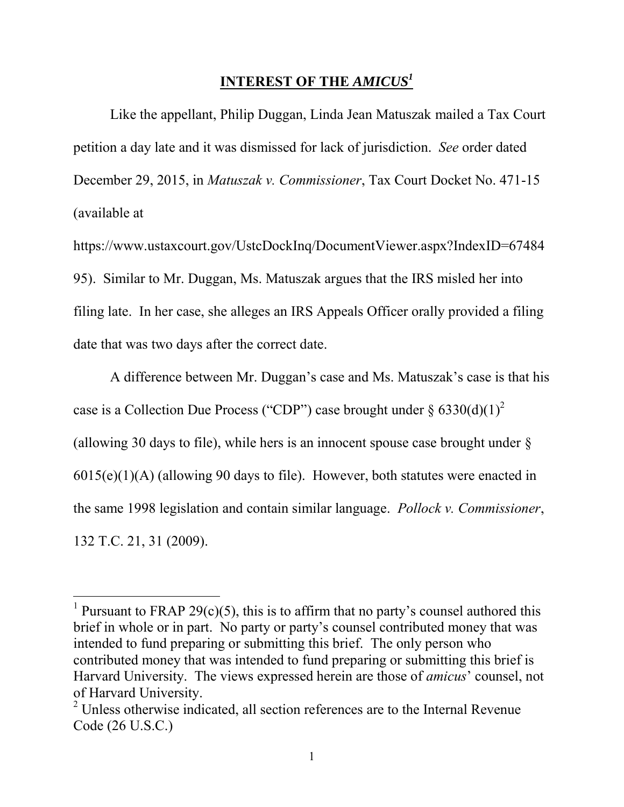# **INTEREST OF THE** *AMICUS<sup>1</sup>*

Like the appellant, Philip Duggan, Linda Jean Matuszak mailed a Tax Court petition a day late and it was dismissed for lack of jurisdiction. *See* order dated December 29, 2015, in *Matuszak v. Commissioner*, Tax Court Docket No. 471-15 (available at

https://www.ustaxcourt.gov/UstcDockInq/DocumentViewer.aspx?IndexID=67484 95). Similar to Mr. Duggan, Ms. Matuszak argues that the IRS misled her into filing late. In her case, she alleges an IRS Appeals Officer orally provided a filing date that was two days after the correct date.

A difference between Mr. Duggan's case and Ms. Matuszak's case is that his case is a Collection Due Process ("CDP") case brought under  $\S 6330(d)(1)^2$ (allowing 30 days to file), while hers is an innocent spouse case brought under  $\delta$ 6015(e)(1)(A) (allowing 90 days to file). However, both statutes were enacted in the same 1998 legislation and contain similar language. *Pollock v. Commissioner*, 132 T.C. 21, 31 (2009).

 $\overline{a}$ 

<sup>&</sup>lt;sup>1</sup> Pursuant to FRAP 29(c)(5), this is to affirm that no party's counsel authored this brief in whole or in part. No party or party's counsel contributed money that was intended to fund preparing or submitting this brief. The only person who contributed money that was intended to fund preparing or submitting this brief is Harvard University. The views expressed herein are those of *amicus*' counsel, not of Harvard University.

 $2$  Unless otherwise indicated, all section references are to the Internal Revenue Code (26 U.S.C.)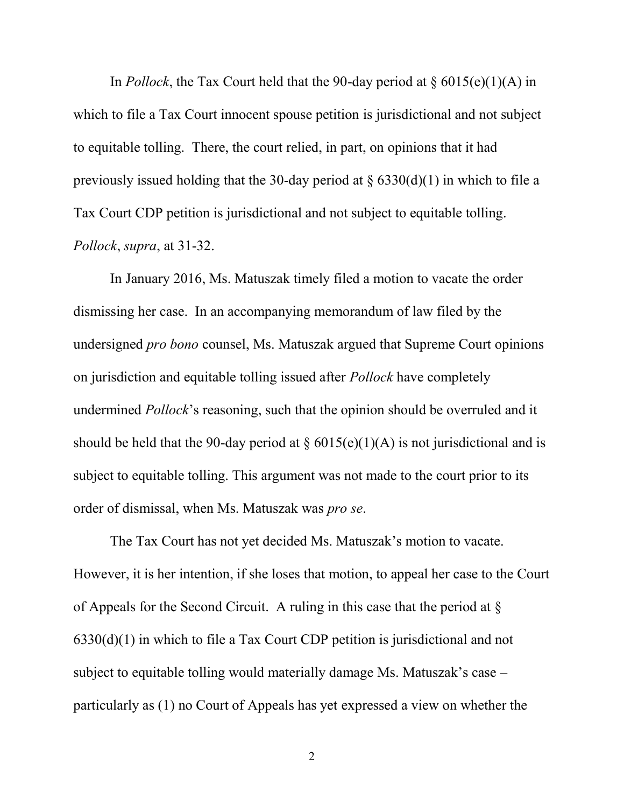In *Pollock*, the Tax Court held that the 90-day period at  $\S 6015(e)(1)(A)$  in which to file a Tax Court innocent spouse petition is jurisdictional and not subject to equitable tolling. There, the court relied, in part, on opinions that it had previously issued holding that the 30-day period at  $\S$  6330(d)(1) in which to file a Tax Court CDP petition is jurisdictional and not subject to equitable tolling. *Pollock*, *supra*, at 31-32.

In January 2016, Ms. Matuszak timely filed a motion to vacate the order dismissing her case. In an accompanying memorandum of law filed by the undersigned *pro bono* counsel, Ms. Matuszak argued that Supreme Court opinions on jurisdiction and equitable tolling issued after *Pollock* have completely undermined *Pollock*'s reasoning, such that the opinion should be overruled and it should be held that the 90-day period at  $\S 6015(e)(1)(A)$  is not jurisdictional and is subject to equitable tolling. This argument was not made to the court prior to its order of dismissal, when Ms. Matuszak was *pro se*.

The Tax Court has not yet decided Ms. Matuszak's motion to vacate. However, it is her intention, if she loses that motion, to appeal her case to the Court of Appeals for the Second Circuit. A ruling in this case that the period at § 6330(d)(1) in which to file a Tax Court CDP petition is jurisdictional and not subject to equitable tolling would materially damage Ms. Matuszak's case – particularly as (1) no Court of Appeals has yet expressed a view on whether the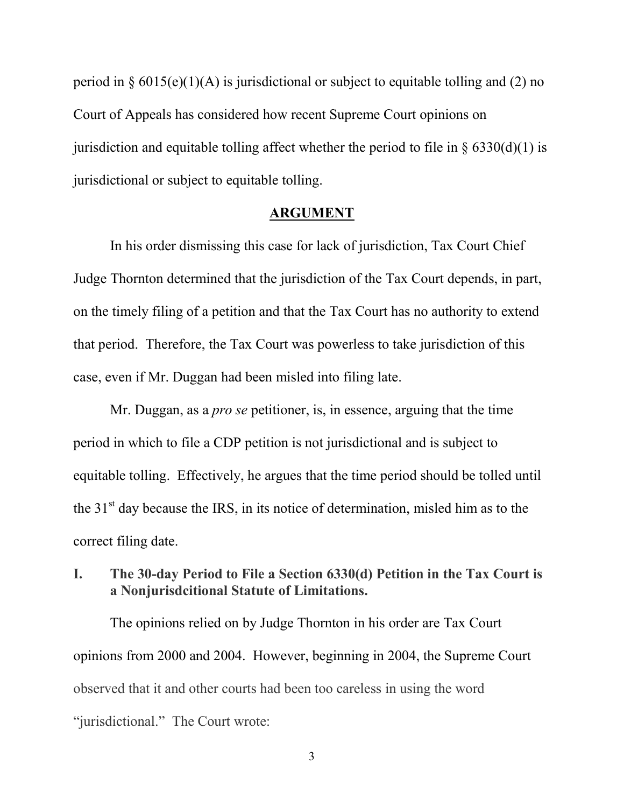period in  $\S 6015(e)(1)(A)$  is jurisdictional or subject to equitable tolling and (2) no Court of Appeals has considered how recent Supreme Court opinions on jurisdiction and equitable tolling affect whether the period to file in  $\S$  6330(d)(1) is jurisdictional or subject to equitable tolling.

#### **ARGUMENT**

In his order dismissing this case for lack of jurisdiction, Tax Court Chief Judge Thornton determined that the jurisdiction of the Tax Court depends, in part, on the timely filing of a petition and that the Tax Court has no authority to extend that period. Therefore, the Tax Court was powerless to take jurisdiction of this case, even if Mr. Duggan had been misled into filing late.

Mr. Duggan, as a *pro se* petitioner, is, in essence, arguing that the time period in which to file a CDP petition is not jurisdictional and is subject to equitable tolling. Effectively, he argues that the time period should be tolled until the  $31<sup>st</sup>$  day because the IRS, in its notice of determination, misled him as to the correct filing date.

**I. The 30-day Period to File a Section 6330(d) Petition in the Tax Court is a Nonjurisdcitional Statute of Limitations.** 

The opinions relied on by Judge Thornton in his order are Tax Court opinions from 2000 and 2004. However, beginning in 2004, the Supreme Court observed that it and other courts had been too careless in using the word "jurisdictional." The Court wrote:

3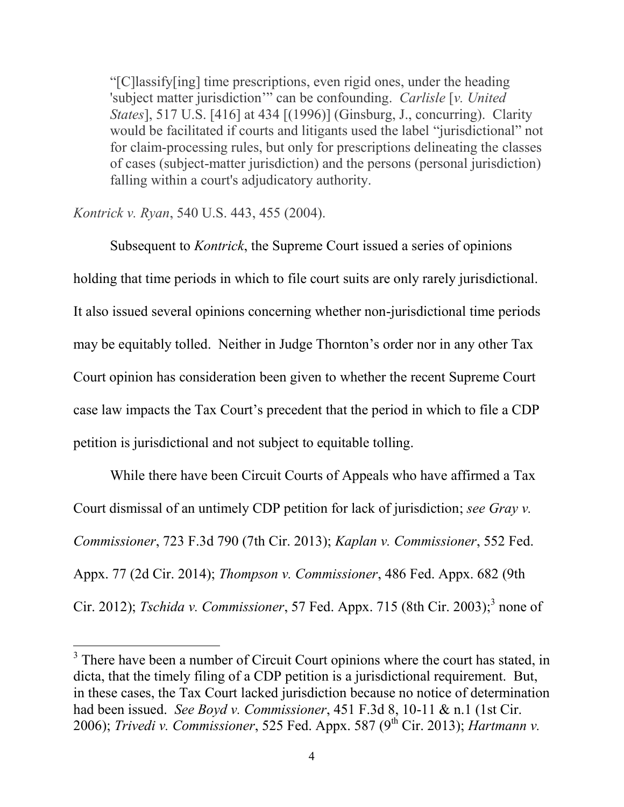"[C]lassify[ing] time prescriptions, even rigid ones, under the heading 'subject matter jurisdiction'" can be confounding. *Carlisle* [*v. United States*], 517 U.S. [416] at 434 [(1996)] (Ginsburg, J., concurring). Clarity would be facilitated if courts and litigants used the label "jurisdictional" not for claim-processing rules, but only for prescriptions delineating the classes of cases (subject-matter jurisdiction) and the persons (personal jurisdiction) falling within a court's adjudicatory authority.

#### *Kontrick v. Ryan*, 540 U.S. 443, 455 (2004).

 $\overline{a}$ 

Subsequent to *Kontrick*, the Supreme Court issued a series of opinions holding that time periods in which to file court suits are only rarely jurisdictional. It also issued several opinions concerning whether non-jurisdictional time periods may be equitably tolled. Neither in Judge Thornton's order nor in any other Tax Court opinion has consideration been given to whether the recent Supreme Court case law impacts the Tax Court's precedent that the period in which to file a CDP petition is jurisdictional and not subject to equitable tolling.

While there have been Circuit Courts of Appeals who have affirmed a Tax Court dismissal of an untimely CDP petition for lack of jurisdiction; *see Gray v. Commissioner*, 723 F.3d 790 (7th Cir. 2013); *Kaplan v. Commissioner*, 552 Fed. Appx. 77 (2d Cir. 2014); *Thompson v. Commissioner*, 486 Fed. Appx. 682 (9th Cir. 2012); *Tschida v. Commissioner*, 57 Fed. Appx. 715 (8th Cir. 2003);<sup>3</sup> none of

<sup>&</sup>lt;sup>3</sup> There have been a number of Circuit Court opinions where the court has stated, in dicta, that the timely filing of a CDP petition is a jurisdictional requirement. But, in these cases, the Tax Court lacked jurisdiction because no notice of determination had been issued. *See Boyd v. Commissioner*, 451 F.3d 8, 10-11 & n.1 (1st Cir. 2006); *Trivedi v. Commissioner*, 525 Fed. Appx. 587 (9<sup>th</sup> Cir. 2013); *Hartmann v.*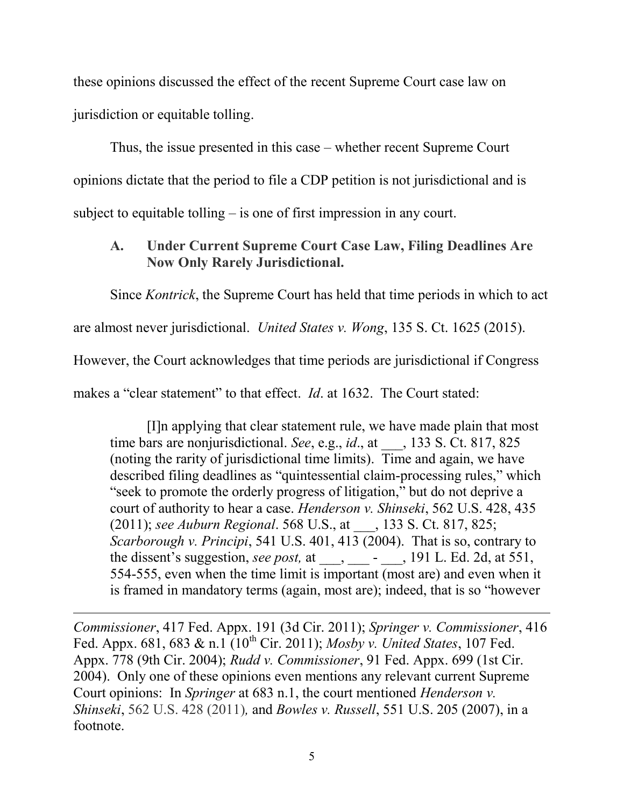these opinions discussed the effect of the recent Supreme Court case law on jurisdiction or equitable tolling.

Thus, the issue presented in this case – whether recent Supreme Court opinions dictate that the period to file a CDP petition is not jurisdictional and is subject to equitable tolling – is one of first impression in any court.

# **A. Under Current Supreme Court Case Law, Filing Deadlines Are Now Only Rarely Jurisdictional.**

Since *Kontrick*, the Supreme Court has held that time periods in which to act

are almost never jurisdictional. *United States v. Wong*, 135 S. Ct. 1625 (2015).

However, the Court acknowledges that time periods are jurisdictional if Congress

makes a "clear statement" to that effect. *Id*. at 1632. The Court stated:

[I]n applying that clear statement rule, we have made plain that most time bars are nonjurisdictional. *See*, e.g., *id*., at \_\_\_, 133 S. Ct. 817, 825 (noting the rarity of jurisdictional time limits). Time and again, we have described filing deadlines as "quintessential claim-processing rules," which "seek to promote the orderly progress of litigation," but do not deprive a court of authority to hear a case. *Henderson v. Shinseki*, 562 U.S. 428, 435 (2011); *see Auburn Regional*. 568 U.S., at \_\_\_, 133 S. Ct. 817, 825; *Scarborough v. Principi*, 541 U.S. 401, 413 (2004). That is so, contrary to the dissent's suggestion, *see post,* at \_\_\_, \_\_\_ - \_\_\_, 191 L. Ed. 2d, at 551, 554-555, even when the time limit is important (most are) and even when it is framed in mandatory terms (again, most are); indeed, that is so "however

 $\overline{a}$ *Commissioner*, 417 Fed. Appx. 191 (3d Cir. 2011); *Springer v. Commissioner*, 416 Fed. Appx. 681, 683 & n.1 (10<sup>th</sup> Cir. 2011); *Mosby v. United States*, 107 Fed. Appx. 778 (9th Cir. 2004); *Rudd v. Commissioner*, 91 Fed. Appx. 699 (1st Cir. 2004). Only one of these opinions even mentions any relevant current Supreme Court opinions: In *Springer* at 683 n.1, the court mentioned *Henderson v. Shinseki*, 562 U.S. 428 (2011)*,* and *Bowles v. Russell*, 551 U.S. 205 (2007), in a footnote.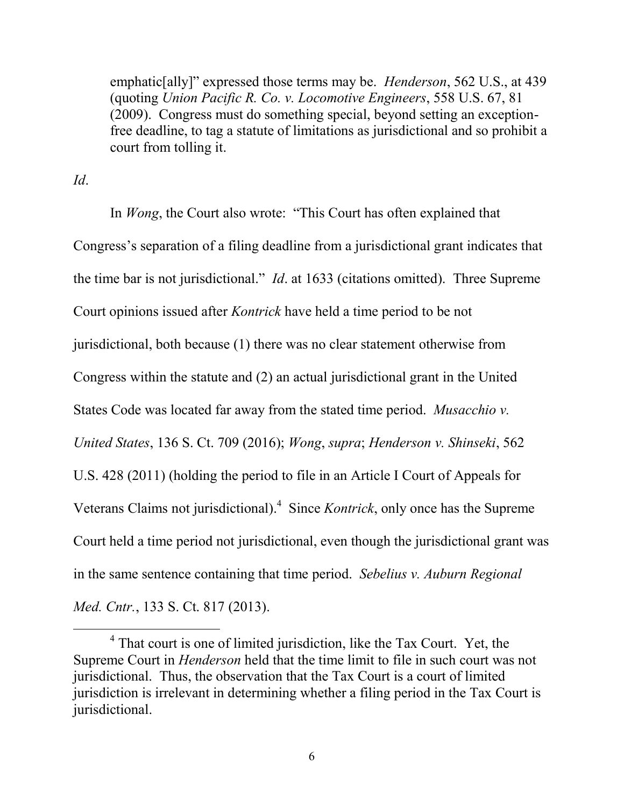emphatic[ally]" expressed those terms may be. *Henderson*, 562 U.S., at 439 (quoting *Union Pacific R. Co. v. Locomotive Engineers*, 558 U.S. 67, 81 (2009). Congress must do something special, beyond setting an exceptionfree deadline, to tag a statute of limitations as jurisdictional and so prohibit a court from tolling it.

*Id*.

 $\overline{a}$ 

In *Wong*, the Court also wrote: "This Court has often explained that Congress's separation of a filing deadline from a jurisdictional grant indicates that the time bar is not jurisdictional." *Id*. at 1633 (citations omitted). Three Supreme Court opinions issued after *Kontrick* have held a time period to be not jurisdictional, both because (1) there was no clear statement otherwise from Congress within the statute and (2) an actual jurisdictional grant in the United States Code was located far away from the stated time period. *Musacchio v. United States*, 136 S. Ct. 709 (2016); *Wong*, *supra*; *Henderson v. Shinseki*, 562 U.S. 428 (2011) (holding the period to file in an Article I Court of Appeals for Veterans Claims not jurisdictional).<sup>4</sup> Since *Kontrick*, only once has the Supreme Court held a time period not jurisdictional, even though the jurisdictional grant was in the same sentence containing that time period. *Sebelius v. Auburn Regional Med. Cntr.*, 133 S. Ct. 817 (2013).

<sup>&</sup>lt;sup>4</sup> That court is one of limited jurisdiction, like the Tax Court. Yet, the Supreme Court in *Henderson* held that the time limit to file in such court was not jurisdictional. Thus, the observation that the Tax Court is a court of limited jurisdiction is irrelevant in determining whether a filing period in the Tax Court is jurisdictional.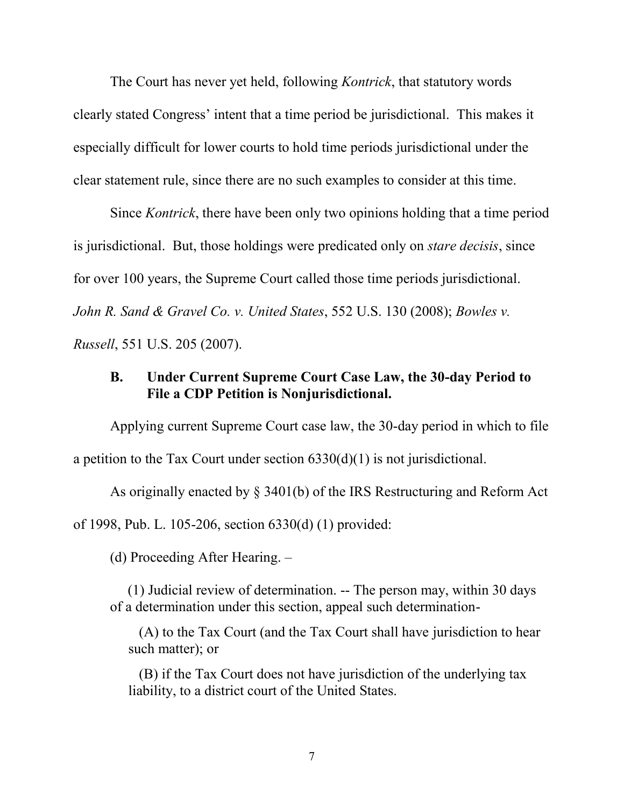The Court has never yet held, following *Kontrick*, that statutory words clearly stated Congress' intent that a time period be jurisdictional. This makes it especially difficult for lower courts to hold time periods jurisdictional under the clear statement rule, since there are no such examples to consider at this time.

Since *Kontrick*, there have been only two opinions holding that a time period is jurisdictional. But, those holdings were predicated only on *stare decisis*, since for over 100 years, the Supreme Court called those time periods jurisdictional. *John R. Sand & Gravel Co. v. United States*, 552 U.S. 130 (2008); *Bowles v. Russell*, 551 U.S. 205 (2007).

## **B. Under Current Supreme Court Case Law, the 30-day Period to File a CDP Petition is Nonjurisdictional.**

Applying current Supreme Court case law, the 30-day period in which to file a petition to the Tax Court under section 6330(d)(1) is not jurisdictional.

As originally enacted by § 3401(b) of the IRS Restructuring and Reform Act

of 1998, Pub. L. 105-206, section 6330(d) (1) provided:

(d) Proceeding After Hearing. –

 (1) Judicial review of determination. -- The person may, within 30 days of a determination under this section, appeal such determination-

 (A) to the Tax Court (and the Tax Court shall have jurisdiction to hear such matter); or

 (B) if the Tax Court does not have jurisdiction of the underlying tax liability, to a district court of the United States.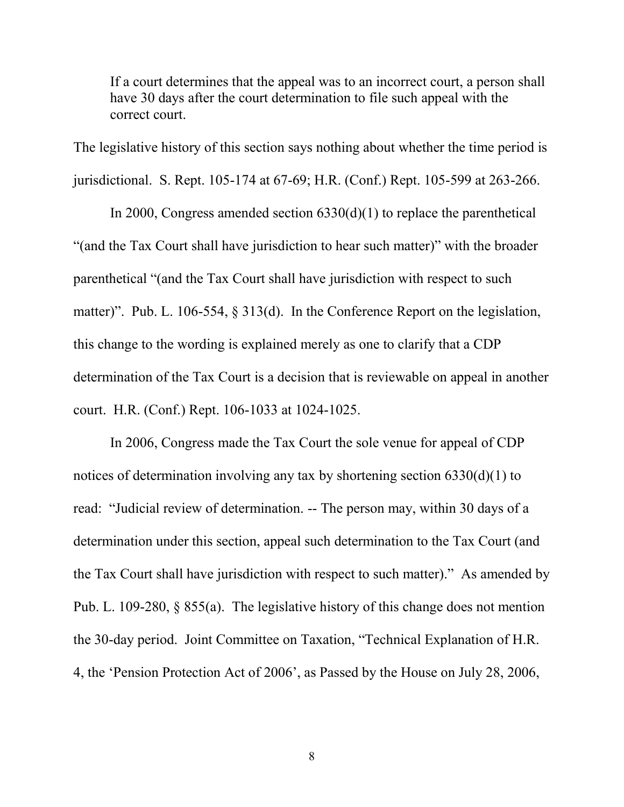If a court determines that the appeal was to an incorrect court, a person shall have 30 days after the court determination to file such appeal with the correct court.

The legislative history of this section says nothing about whether the time period is jurisdictional. S. Rept. 105-174 at 67-69; H.R. (Conf.) Rept. 105-599 at 263-266.

In 2000, Congress amended section 6330(d)(1) to replace the parenthetical "(and the Tax Court shall have jurisdiction to hear such matter)" with the broader parenthetical "(and the Tax Court shall have jurisdiction with respect to such matter)". Pub. L. 106-554, § 313(d). In the Conference Report on the legislation, this change to the wording is explained merely as one to clarify that a CDP determination of the Tax Court is a decision that is reviewable on appeal in another court. H.R. (Conf.) Rept. 106-1033 at 1024-1025.

In 2006, Congress made the Tax Court the sole venue for appeal of CDP notices of determination involving any tax by shortening section 6330(d)(1) to read: "Judicial review of determination. -- The person may, within 30 days of a determination under this section, appeal such determination to the Tax Court (and the Tax Court shall have jurisdiction with respect to such matter)." As amended by Pub. L. 109-280, § 855(a). The legislative history of this change does not mention the 30-day period. Joint Committee on Taxation, "Technical Explanation of H.R. 4, the 'Pension Protection Act of 2006', as Passed by the House on July 28, 2006,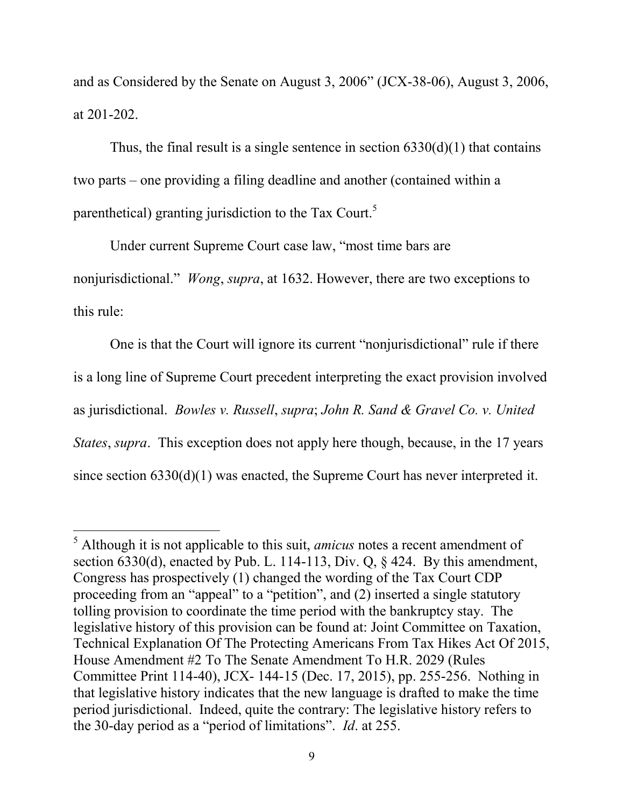and as Considered by the Senate on August 3, 2006" (JCX-38-06), August 3, 2006, at 201-202.

Thus, the final result is a single sentence in section  $6330(d)(1)$  that contains two parts – one providing a filing deadline and another (contained within a parenthetical) granting jurisdiction to the Tax Court.<sup>5</sup>

Under current Supreme Court case law, "most time bars are nonjurisdictional." *Wong*, *supra*, at 1632. However, there are two exceptions to this rule:

One is that the Court will ignore its current "nonjurisdictional" rule if there is a long line of Supreme Court precedent interpreting the exact provision involved as jurisdictional. *Bowles v. Russell*, *supra*; *John R. Sand & Gravel Co. v. United States*, *supra*. This exception does not apply here though, because, in the 17 years since section 6330(d)(1) was enacted, the Supreme Court has never interpreted it.

 $\overline{a}$ 

<sup>5</sup> Although it is not applicable to this suit, *amicus* notes a recent amendment of section 6330(d), enacted by Pub. L. 114-113, Div. Q,  $\frac{6}{5}$  424. By this amendment, Congress has prospectively (1) changed the wording of the Tax Court CDP proceeding from an "appeal" to a "petition", and (2) inserted a single statutory tolling provision to coordinate the time period with the bankruptcy stay. The legislative history of this provision can be found at: Joint Committee on Taxation, Technical Explanation Of The Protecting Americans From Tax Hikes Act Of 2015, House Amendment #2 To The Senate Amendment To H.R. 2029 (Rules Committee Print 114-40), JCX- 144-15 (Dec. 17, 2015), pp. 255-256. Nothing in that legislative history indicates that the new language is drafted to make the time period jurisdictional. Indeed, quite the contrary: The legislative history refers to the 30-day period as a "period of limitations". *Id*. at 255.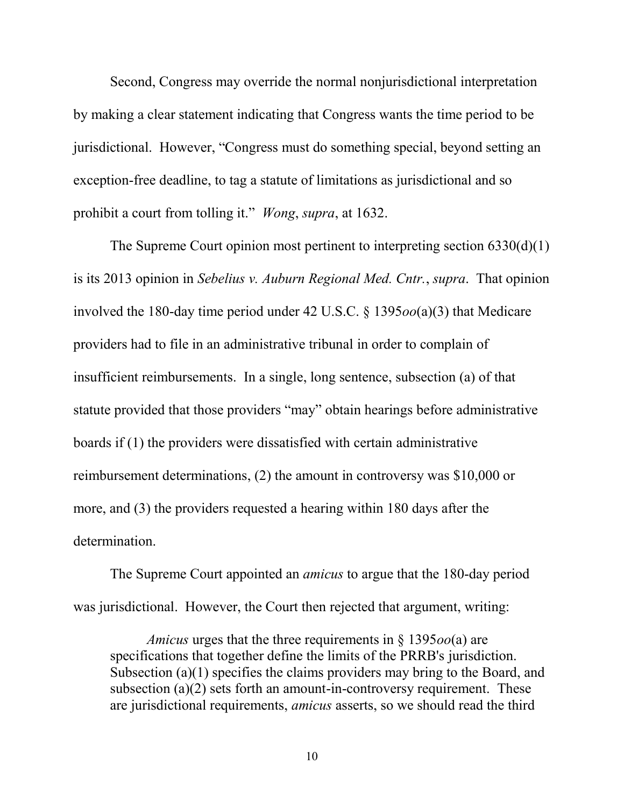Second, Congress may override the normal nonjurisdictional interpretation by making a clear statement indicating that Congress wants the time period to be jurisdictional. However, "Congress must do something special, beyond setting an exception-free deadline, to tag a statute of limitations as jurisdictional and so prohibit a court from tolling it." *Wong*, *supra*, at 1632.

The Supreme Court opinion most pertinent to interpreting section  $6330(d)(1)$ is its 2013 opinion in *Sebelius v. Auburn Regional Med. Cntr.*, *supra*. That opinion involved the 180-day time period under 42 U.S.C. § 1395*oo*(a)(3) that Medicare providers had to file in an administrative tribunal in order to complain of insufficient reimbursements. In a single, long sentence, subsection (a) of that statute provided that those providers "may" obtain hearings before administrative boards if (1) the providers were dissatisfied with certain administrative reimbursement determinations, (2) the amount in controversy was \$10,000 or more, and (3) the providers requested a hearing within 180 days after the determination.

The Supreme Court appointed an *amicus* to argue that the 180-day period was jurisdictional. However, the Court then rejected that argument, writing:

*Amicus* urges that the three requirements in § 1395*oo*(a) are specifications that together define the limits of the PRRB's jurisdiction. Subsection (a)(1) specifies the claims providers may bring to the Board, and subsection (a)(2) sets forth an amount-in-controversy requirement. These are jurisdictional requirements, *amicus* asserts, so we should read the third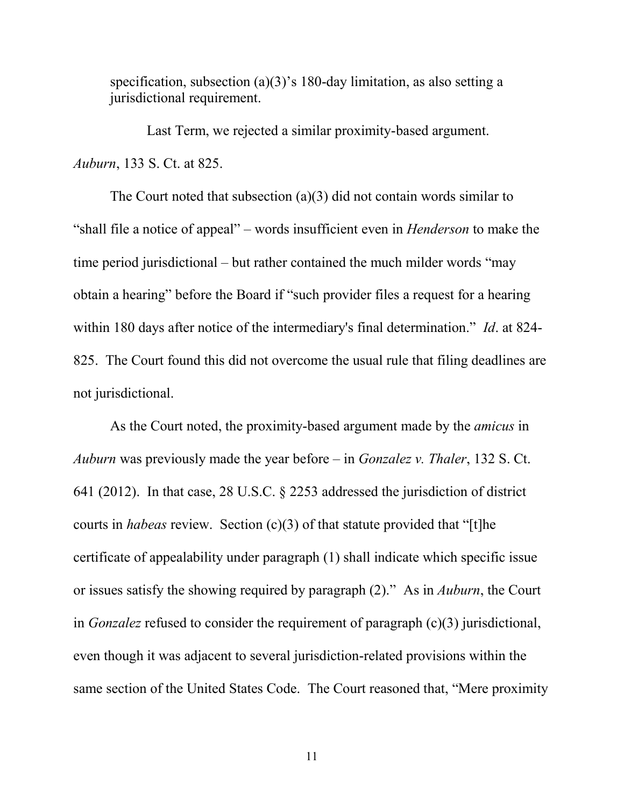specification, subsection (a)(3)'s 180-day limitation, as also setting a jurisdictional requirement.

Last Term, we rejected a similar proximity-based argument. *Auburn*, 133 S. Ct. at 825.

The Court noted that subsection (a)(3) did not contain words similar to "shall file a notice of appeal" – words insufficient even in *Henderson* to make the time period jurisdictional – but rather contained the much milder words "may obtain a hearing" before the Board if "such provider files a request for a hearing within 180 days after notice of the intermediary's final determination." *Id*. at 824- 825. The Court found this did not overcome the usual rule that filing deadlines are not jurisdictional.

As the Court noted, the proximity-based argument made by the *amicus* in *Auburn* was previously made the year before – in *Gonzalez v. Thaler*, 132 S. Ct. 641 (2012). In that case, 28 U.S.C. § 2253 addressed the jurisdiction of district courts in *habeas* review. Section (c)(3) of that statute provided that "[t]he certificate of appealability under paragraph (1) shall indicate which specific issue or issues satisfy the showing required by paragraph (2)." As in *Auburn*, the Court in *Gonzalez* refused to consider the requirement of paragraph (c)(3) jurisdictional, even though it was adjacent to several jurisdiction-related provisions within the same section of the United States Code. The Court reasoned that, "Mere proximity

11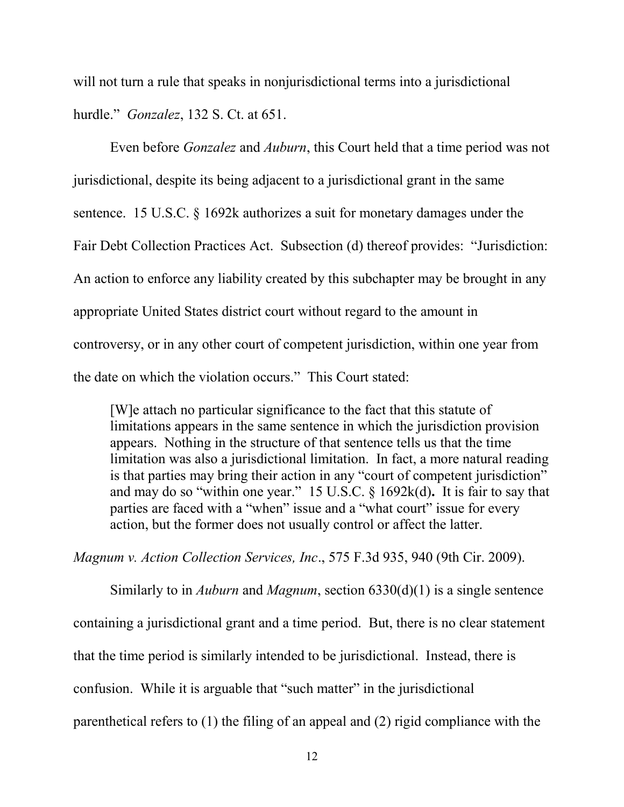will not turn a rule that speaks in nonjurisdictional terms into a jurisdictional hurdle." *Gonzalez*, 132 S. Ct. at 651.

Even before *Gonzalez* and *Auburn*, this Court held that a time period was not jurisdictional, despite its being adjacent to a jurisdictional grant in the same sentence. 15 U.S.C. § 1692k authorizes a suit for monetary damages under the Fair Debt Collection Practices Act. Subsection (d) thereof provides: "Jurisdiction: An action to enforce any liability created by this subchapter may be brought in any appropriate United States district court without regard to the amount in controversy, or in any other court of competent jurisdiction, within one year from the date on which the violation occurs." This Court stated:

[W]e attach no particular significance to the fact that this statute of limitations appears in the same sentence in which the jurisdiction provision appears. Nothing in the structure of that sentence tells us that the time limitation was also a jurisdictional limitation. In fact, a more natural reading is that parties may bring their action in any "court of competent jurisdiction" and may do so "within one year." 15 U.S.C. § 1692k(d)**.** It is fair to say that parties are faced with a "when" issue and a "what court" issue for every action, but the former does not usually control or affect the latter.

*Magnum v. Action Collection Services, Inc*., 575 F.3d 935, 940 (9th Cir. 2009).

Similarly to in *Auburn* and *Magnum*, section 6330(d)(1) is a single sentence containing a jurisdictional grant and a time period. But, there is no clear statement that the time period is similarly intended to be jurisdictional. Instead, there is confusion. While it is arguable that "such matter" in the jurisdictional parenthetical refers to (1) the filing of an appeal and (2) rigid compliance with the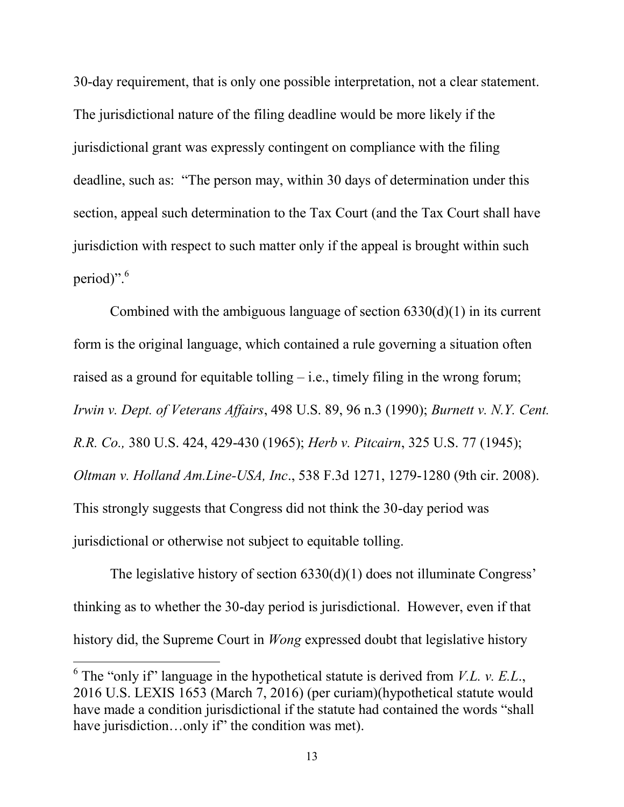30-day requirement, that is only one possible interpretation, not a clear statement. The jurisdictional nature of the filing deadline would be more likely if the jurisdictional grant was expressly contingent on compliance with the filing deadline, such as: "The person may, within 30 days of determination under this section, appeal such determination to the Tax Court (and the Tax Court shall have jurisdiction with respect to such matter only if the appeal is brought within such period)".<sup>6</sup>

Combined with the ambiguous language of section  $6330(d)(1)$  in its current form is the original language, which contained a rule governing a situation often raised as a ground for equitable tolling – i.e., timely filing in the wrong forum; *Irwin v. Dept. of Veterans Affairs*, 498 U.S. 89, 96 n.3 (1990); *Burnett v. N.Y. Cent. R.R. Co.,* 380 U.S. 424, 429-430 (1965); *Herb v. Pitcairn*, 325 U.S. 77 (1945); *Oltman v. Holland Am.Line-USA, Inc*., 538 F.3d 1271, 1279-1280 (9th cir. 2008). This strongly suggests that Congress did not think the 30-day period was jurisdictional or otherwise not subject to equitable tolling.

The legislative history of section 6330(d)(1) does not illuminate Congress' thinking as to whether the 30-day period is jurisdictional. However, even if that history did, the Supreme Court in *Wong* expressed doubt that legislative history

 $\overline{a}$ 

 $6$  The "only if" language in the hypothetical statute is derived from *V.L. v. E.L.*, 2016 U.S. LEXIS 1653 (March 7, 2016) (per curiam)(hypothetical statute would have made a condition jurisdictional if the statute had contained the words "shall have jurisdiction...only if" the condition was met).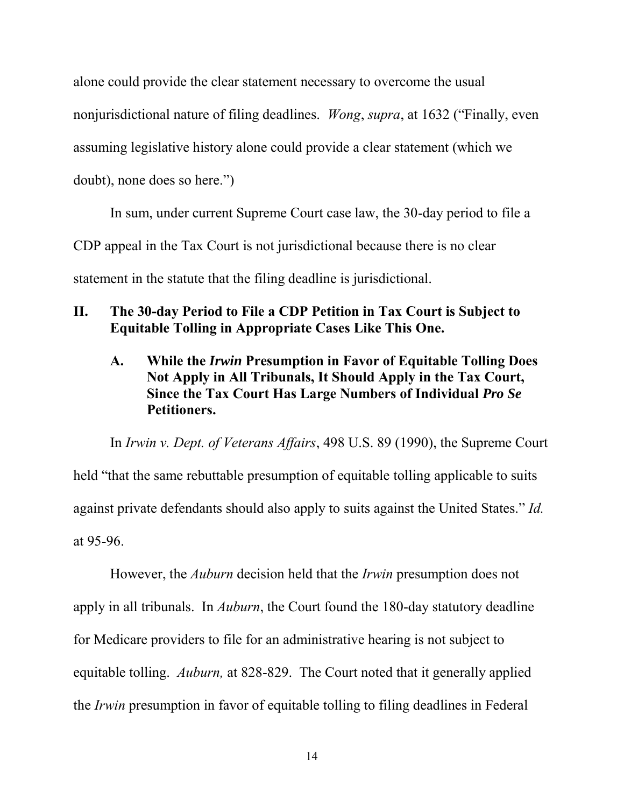alone could provide the clear statement necessary to overcome the usual nonjurisdictional nature of filing deadlines. *Wong*, *supra*, at 1632 ("Finally, even assuming legislative history alone could provide a clear statement (which we doubt), none does so here.")

In sum, under current Supreme Court case law, the 30-day period to file a CDP appeal in the Tax Court is not jurisdictional because there is no clear statement in the statute that the filing deadline is jurisdictional.

## **II. The 30-day Period to File a CDP Petition in Tax Court is Subject to Equitable Tolling in Appropriate Cases Like This One.**

# **A. While the** *Irwin* **Presumption in Favor of Equitable Tolling Does Not Apply in All Tribunals, It Should Apply in the Tax Court, Since the Tax Court Has Large Numbers of Individual** *Pro Se* **Petitioners.**

In *Irwin v. Dept. of Veterans Affairs*, 498 U.S. 89 (1990), the Supreme Court held "that the same rebuttable presumption of equitable tolling applicable to suits against private defendants should also apply to suits against the United States." *Id.*  at 95-96.

However, the *Auburn* decision held that the *Irwin* presumption does not apply in all tribunals. In *Auburn*, the Court found the 180-day statutory deadline for Medicare providers to file for an administrative hearing is not subject to equitable tolling. *Auburn,* at 828-829. The Court noted that it generally applied the *Irwin* presumption in favor of equitable tolling to filing deadlines in Federal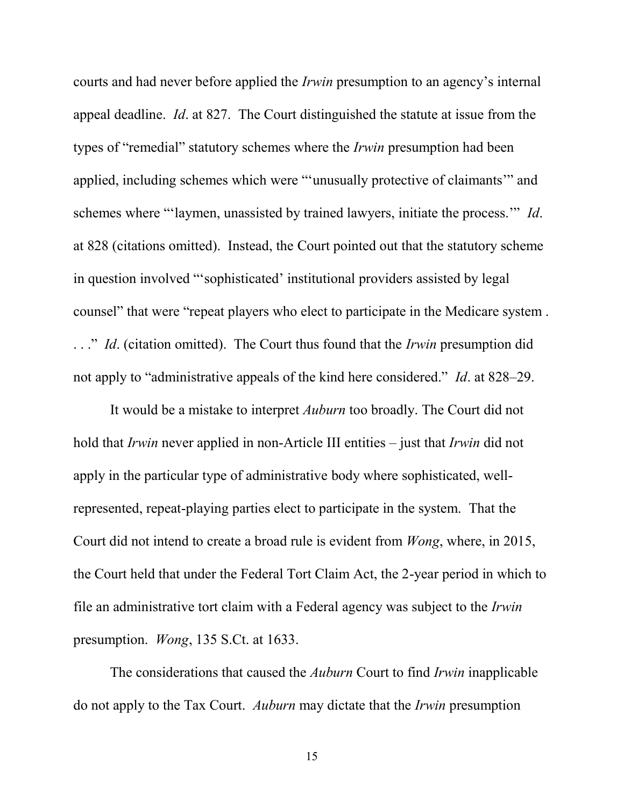courts and had never before applied the *Irwin* presumption to an agency's internal appeal deadline. *Id*. at 827. The Court distinguished the statute at issue from the types of "remedial" statutory schemes where the *Irwin* presumption had been applied, including schemes which were "'unusually protective of claimants'" and schemes where "'laymen, unassisted by trained lawyers, initiate the process.'" *Id*. at 828 (citations omitted). Instead, the Court pointed out that the statutory scheme in question involved "'sophisticated' institutional providers assisted by legal counsel" that were "repeat players who elect to participate in the Medicare system . . . ." *Id*. (citation omitted). The Court thus found that the *Irwin* presumption did not apply to "administrative appeals of the kind here considered." *Id*. at 828–29.

It would be a mistake to interpret *Auburn* too broadly. The Court did not hold that *Irwin* never applied in non-Article III entities – just that *Irwin* did not apply in the particular type of administrative body where sophisticated, wellrepresented, repeat-playing parties elect to participate in the system. That the Court did not intend to create a broad rule is evident from *Wong*, where, in 2015, the Court held that under the Federal Tort Claim Act, the 2-year period in which to file an administrative tort claim with a Federal agency was subject to the *Irwin* presumption. *Wong*, 135 S.Ct. at 1633.

The considerations that caused the *Auburn* Court to find *Irwin* inapplicable do not apply to the Tax Court. *Auburn* may dictate that the *Irwin* presumption

15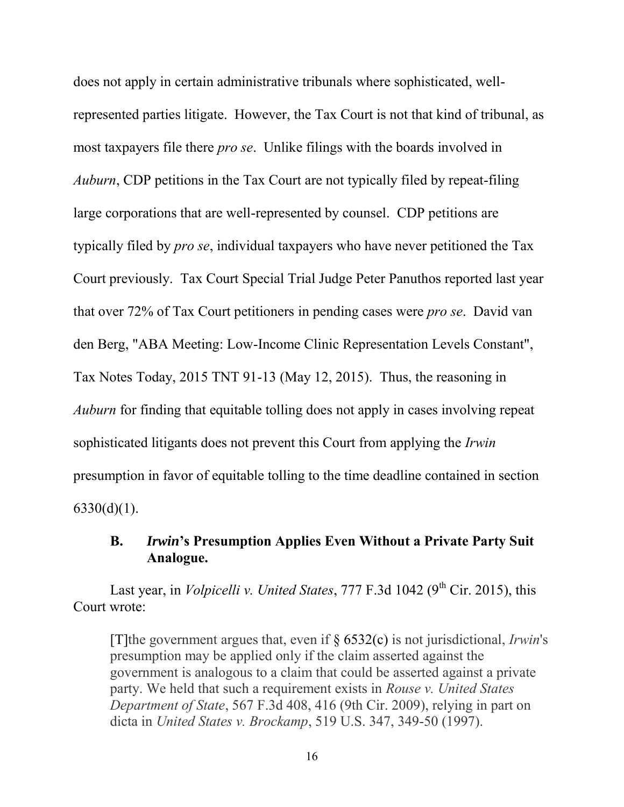does not apply in certain administrative tribunals where sophisticated, wellrepresented parties litigate. However, the Tax Court is not that kind of tribunal, as most taxpayers file there *pro se*. Unlike filings with the boards involved in *Auburn*, CDP petitions in the Tax Court are not typically filed by repeat-filing large corporations that are well-represented by counsel. CDP petitions are typically filed by *pro se*, individual taxpayers who have never petitioned the Tax Court previously. Tax Court Special Trial Judge Peter Panuthos reported last year that over 72% of Tax Court petitioners in pending cases were *pro se*. David van den Berg, "ABA Meeting: Low-Income Clinic Representation Levels Constant", Tax Notes Today, 2015 TNT 91-13 (May 12, 2015). Thus, the reasoning in *Auburn* for finding that equitable tolling does not apply in cases involving repeat sophisticated litigants does not prevent this Court from applying the *Irwin* presumption in favor of equitable tolling to the time deadline contained in section  $6330(d)(1)$ .

## **B.** *Irwin***'s Presumption Applies Even Without a Private Party Suit Analogue.**

Last year, in *Volpicelli v. United States*, 777 F.3d 1042 (9<sup>th</sup> Cir. 2015), this Court wrote:

[T]the government argues that, even if § 6532(c) is not jurisdictional, *Irwin*'s presumption may be applied only if the claim asserted against the government is analogous to a claim that could be asserted against a private party. We held that such a requirement exists in *Rouse v. United States Department of State*, 567 F.3d 408, 416 (9th Cir. 2009), relying in part on dicta in *United States v. Brockamp*, 519 U.S. 347, 349-50 (1997).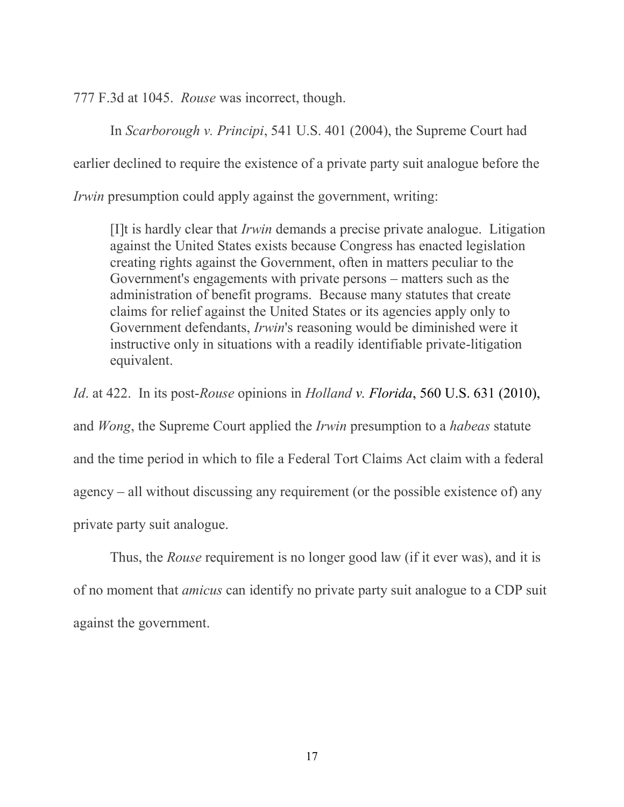777 F.3d at 1045. *Rouse* was incorrect, though.

In *Scarborough v. Principi*, 541 U.S. 401 (2004), the Supreme Court had

earlier declined to require the existence of a private party suit analogue before the

*Irwin* presumption could apply against the government, writing:

[I]t is hardly clear that *Irwin* demands a precise private analogue. Litigation against the United States exists because Congress has enacted legislation creating rights against the Government, often in matters peculiar to the Government's engagements with private persons – matters such as the administration of benefit programs. Because many statutes that create claims for relief against the United States or its agencies apply only to Government defendants, *Irwin*'s reasoning would be diminished were it instructive only in situations with a readily identifiable private-litigation equivalent.

*Id*. at 422. In its post-*Rouse* opinions in *Holland v. Florida*, 560 U.S. 631 (2010), and *Wong*, the Supreme Court applied the *Irwin* presumption to a *habeas* statute and the time period in which to file a Federal Tort Claims Act claim with a federal agency – all without discussing any requirement (or the possible existence of) any private party suit analogue.

 Thus, the *Rouse* requirement is no longer good law (if it ever was), and it is of no moment that *amicus* can identify no private party suit analogue to a CDP suit against the government.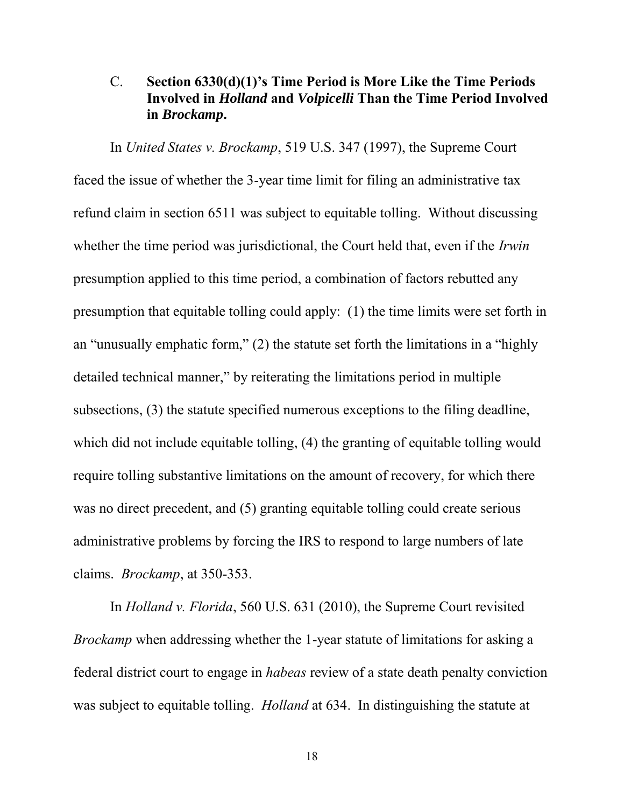#### C. **Section 6330(d)(1)'s Time Period is More Like the Time Periods Involved in** *Holland* **and** *Volpicelli* **Than the Time Period Involved in** *Brockamp***.**

In *United States v. Brockamp*, 519 U.S. 347 (1997), the Supreme Court faced the issue of whether the 3-year time limit for filing an administrative tax refund claim in section 6511 was subject to equitable tolling. Without discussing whether the time period was jurisdictional, the Court held that, even if the *Irwin* presumption applied to this time period, a combination of factors rebutted any presumption that equitable tolling could apply: (1) the time limits were set forth in an "unusually emphatic form," (2) the statute set forth the limitations in a "highly detailed technical manner," by reiterating the limitations period in multiple subsections, (3) the statute specified numerous exceptions to the filing deadline, which did not include equitable tolling, (4) the granting of equitable tolling would require tolling substantive limitations on the amount of recovery, for which there was no direct precedent, and (5) granting equitable tolling could create serious administrative problems by forcing the IRS to respond to large numbers of late claims. *Brockamp*, at 350-353.

In *Holland v. Florida*, 560 U.S. 631 (2010), the Supreme Court revisited *Brockamp* when addressing whether the 1-year statute of limitations for asking a federal district court to engage in *habeas* review of a state death penalty conviction was subject to equitable tolling. *Holland* at 634. In distinguishing the statute at

18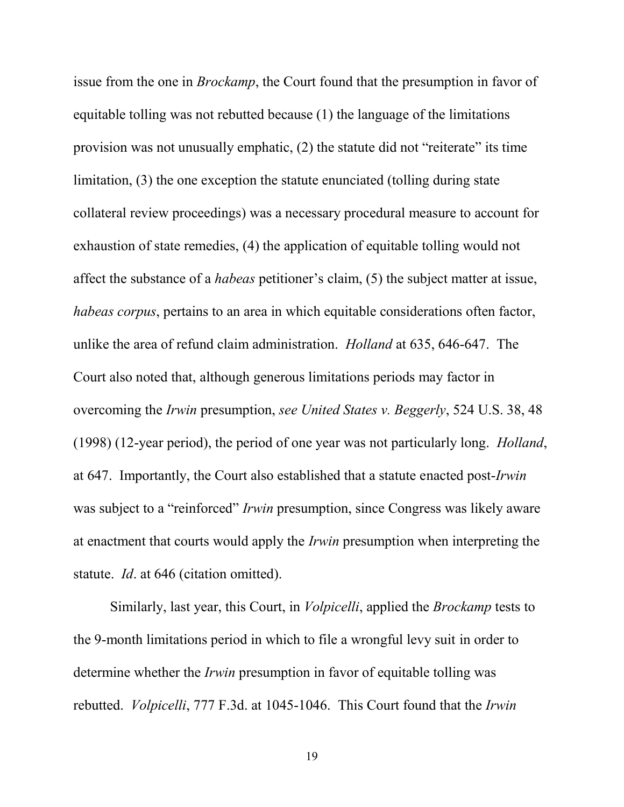issue from the one in *Brockamp*, the Court found that the presumption in favor of equitable tolling was not rebutted because (1) the language of the limitations provision was not unusually emphatic, (2) the statute did not "reiterate" its time limitation, (3) the one exception the statute enunciated (tolling during state collateral review proceedings) was a necessary procedural measure to account for exhaustion of state remedies, (4) the application of equitable tolling would not affect the substance of a *habeas* petitioner's claim, (5) the subject matter at issue, *habeas corpus*, pertains to an area in which equitable considerations often factor, unlike the area of refund claim administration. *Holland* at 635, 646-647. The Court also noted that, although generous limitations periods may factor in overcoming the *Irwin* presumption, *see United States v. Beggerly*, 524 U.S. 38, 48 (1998) (12-year period), the period of one year was not particularly long. *Holland*, at 647. Importantly, the Court also established that a statute enacted post-*Irwin* was subject to a "reinforced" *Irwin* presumption, since Congress was likely aware at enactment that courts would apply the *Irwin* presumption when interpreting the statute. *Id*. at 646 (citation omitted).

Similarly, last year, this Court, in *Volpicelli*, applied the *Brockamp* tests to the 9-month limitations period in which to file a wrongful levy suit in order to determine whether the *Irwin* presumption in favor of equitable tolling was rebutted. *Volpicelli*, 777 F.3d. at 1045-1046. This Court found that the *Irwin* 

19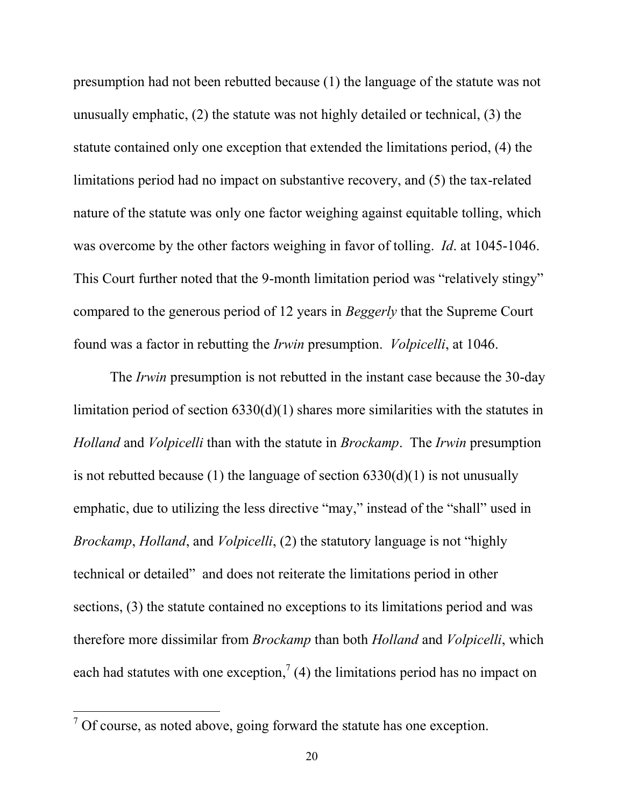presumption had not been rebutted because (1) the language of the statute was not unusually emphatic, (2) the statute was not highly detailed or technical, (3) the statute contained only one exception that extended the limitations period, (4) the limitations period had no impact on substantive recovery, and (5) the tax-related nature of the statute was only one factor weighing against equitable tolling, which was overcome by the other factors weighing in favor of tolling. *Id*. at 1045-1046. This Court further noted that the 9-month limitation period was "relatively stingy" compared to the generous period of 12 years in *Beggerly* that the Supreme Court found was a factor in rebutting the *Irwin* presumption. *Volpicelli*, at 1046.

The *Irwin* presumption is not rebutted in the instant case because the 30-day limitation period of section 6330(d)(1) shares more similarities with the statutes in *Holland* and *Volpicelli* than with the statute in *Brockamp*. The *Irwin* presumption is not rebutted because (1) the language of section  $6330(d)(1)$  is not unusually emphatic, due to utilizing the less directive "may," instead of the "shall" used in *Brockamp*, *Holland*, and *Volpicelli*, (2) the statutory language is not "highly technical or detailed" and does not reiterate the limitations period in other sections, (3) the statute contained no exceptions to its limitations period and was therefore more dissimilar from *Brockamp* than both *Holland* and *Volpicelli*, which each had statutes with one exception,<sup>7</sup> (4) the limitations period has no impact on

 $\overline{a}$ 

 $7$  Of course, as noted above, going forward the statute has one exception.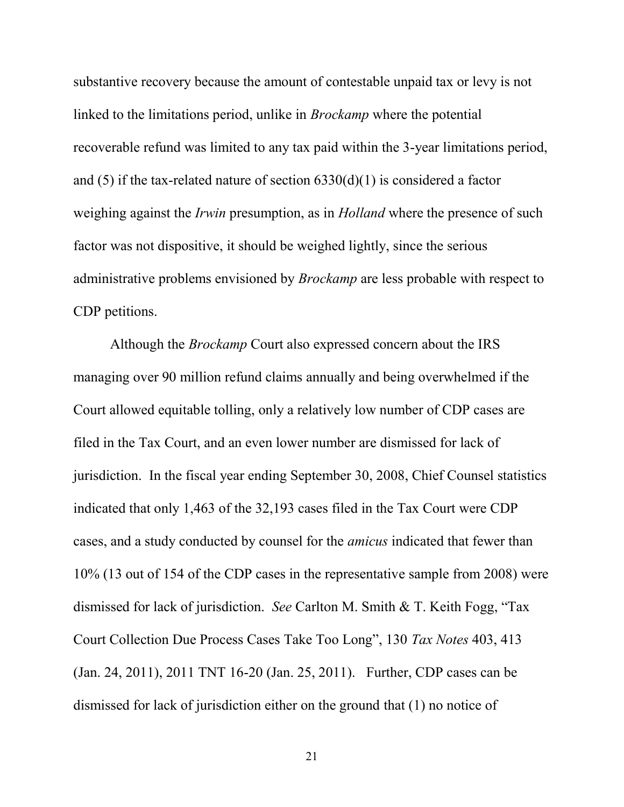substantive recovery because the amount of contestable unpaid tax or levy is not linked to the limitations period, unlike in *Brockamp* where the potential recoverable refund was limited to any tax paid within the 3-year limitations period, and (5) if the tax-related nature of section  $6330(d)(1)$  is considered a factor weighing against the *Irwin* presumption, as in *Holland* where the presence of such factor was not dispositive, it should be weighed lightly, since the serious administrative problems envisioned by *Brockamp* are less probable with respect to CDP petitions.

Although the *Brockamp* Court also expressed concern about the IRS managing over 90 million refund claims annually and being overwhelmed if the Court allowed equitable tolling, only a relatively low number of CDP cases are filed in the Tax Court, and an even lower number are dismissed for lack of jurisdiction. In the fiscal year ending September 30, 2008, Chief Counsel statistics indicated that only 1,463 of the 32,193 cases filed in the Tax Court were CDP cases, and a study conducted by counsel for the *amicus* indicated that fewer than 10% (13 out of 154 of the CDP cases in the representative sample from 2008) were dismissed for lack of jurisdiction. *See* Carlton M. Smith & T. Keith Fogg, "Tax Court Collection Due Process Cases Take Too Long", 130 *Tax Notes* 403, 413 (Jan. 24, 2011), 2011 TNT 16-20 (Jan. 25, 2011). Further, CDP cases can be dismissed for lack of jurisdiction either on the ground that (1) no notice of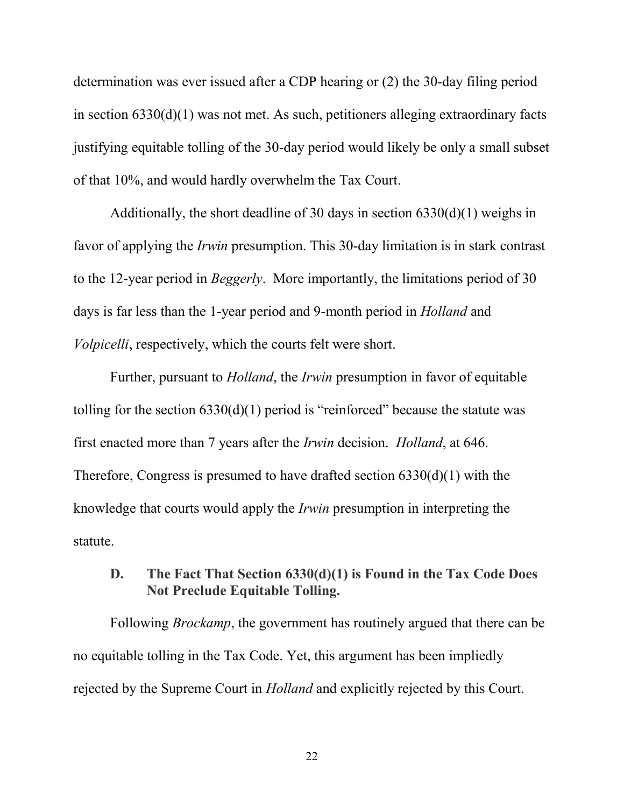determination was ever issued after a CDP hearing or (2) the 30-day filing period in section 6330(d)(1) was not met. As such, petitioners alleging extraordinary facts justifying equitable tolling of the 30-day period would likely be only a small subset of that 10%, and would hardly overwhelm the Tax Court.

Additionally, the short deadline of 30 days in section 6330(d)(1) weighs in favor of applying the *Irwin* presumption. This 30-day limitation is in stark contrast to the 12-year period in *Beggerly*. More importantly, the limitations period of 30 days is far less than the 1-year period and 9-month period in *Holland* and *Volpicelli*, respectively, which the courts felt were short.

Further, pursuant to *Holland*, the *Irwin* presumption in favor of equitable tolling for the section  $6330(d)(1)$  period is "reinforced" because the statute was first enacted more than 7 years after the *Irwin* decision. *Holland*, at 646. Therefore, Congress is presumed to have drafted section 6330(d)(1) with the knowledge that courts would apply the *Irwin* presumption in interpreting the statute.

## **D. The Fact That Section 6330(d)(1) is Found in the Tax Code Does Not Preclude Equitable Tolling.**

Following *Brockamp*, the government has routinely argued that there can be no equitable tolling in the Tax Code. Yet, this argument has been impliedly rejected by the Supreme Court in *Holland* and explicitly rejected by this Court.

22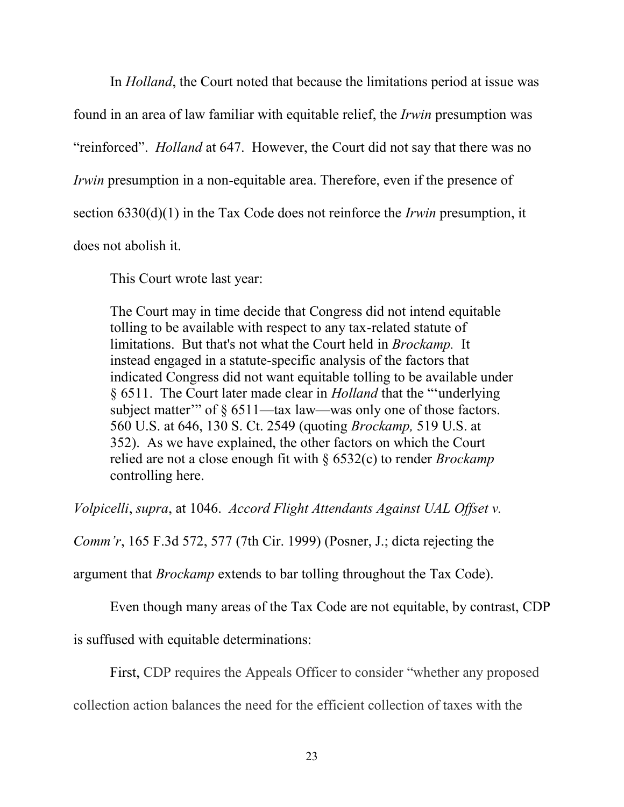In *Holland*, the Court noted that because the limitations period at issue was

found in an area of law familiar with equitable relief, the *Irwin* presumption was

"reinforced". *Holland* at 647. However, the Court did not say that there was no

*Irwin* presumption in a non-equitable area. Therefore, even if the presence of

section 6330(d)(1) in the Tax Code does not reinforce the *Irwin* presumption, it

does not abolish it.

This Court wrote last year:

The Court may in time decide that Congress did not intend equitable tolling to be available with respect to any tax-related statute of limitations. But that's not what the Court held in *Brockamp.* It instead engaged in a statute-specific analysis of the factors that indicated Congress did not want equitable tolling to be available under § 6511. The Court later made clear in *Holland* that the "'underlying subject matter" of  $\frac{1}{2}$  6511—tax law—was only one of those factors. 560 U.S. at 646, 130 S. Ct. 2549 (quoting *Brockamp,* 519 U.S. at 352). As we have explained, the other factors on which the Court relied are not a close enough fit with § 6532(c) to render *Brockamp* controlling here.

*Volpicelli*, *supra*, at 1046. *Accord Flight Attendants Against UAL Offset v.* 

*Comm'r*, 165 F.3d 572, 577 (7th Cir. 1999) (Posner, J.; dicta rejecting the

argument that *Brockamp* extends to bar tolling throughout the Tax Code).

Even though many areas of the Tax Code are not equitable, by contrast, CDP

is suffused with equitable determinations:

First, CDP requires the Appeals Officer to consider "whether any proposed

collection action balances the need for the efficient collection of taxes with the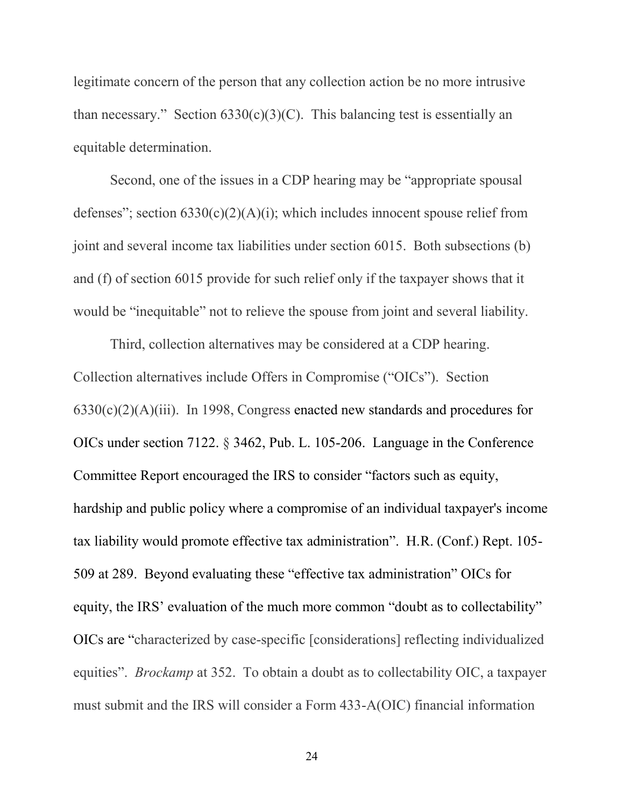legitimate concern of the person that any collection action be no more intrusive than necessary." Section  $6330(c)(3)(C)$ . This balancing test is essentially an equitable determination.

Second, one of the issues in a CDP hearing may be "appropriate spousal defenses"; section  $6330(c)(2)(A)(i)$ ; which includes innocent spouse relief from joint and several income tax liabilities under section 6015. Both subsections (b) and (f) of section 6015 provide for such relief only if the taxpayer shows that it would be "inequitable" not to relieve the spouse from joint and several liability.

Third, collection alternatives may be considered at a CDP hearing. Collection alternatives include Offers in Compromise ("OICs"). Section 6330(c)(2)(A)(iii). In 1998, Congress enacted new standards and procedures for OICs under section 7122. § 3462, Pub. L. 105-206. Language in the Conference Committee Report encouraged the IRS to consider "factors such as equity, hardship and public policy where a compromise of an individual taxpayer's income tax liability would promote effective tax administration". H.R. (Conf.) Rept. 105- 509 at 289. Beyond evaluating these "effective tax administration" OICs for equity, the IRS' evaluation of the much more common "doubt as to collectability" OICs are "characterized by case-specific [considerations] reflecting individualized equities". *Brockamp* at 352. To obtain a doubt as to collectability OIC, a taxpayer must submit and the IRS will consider a Form 433-A(OIC) financial information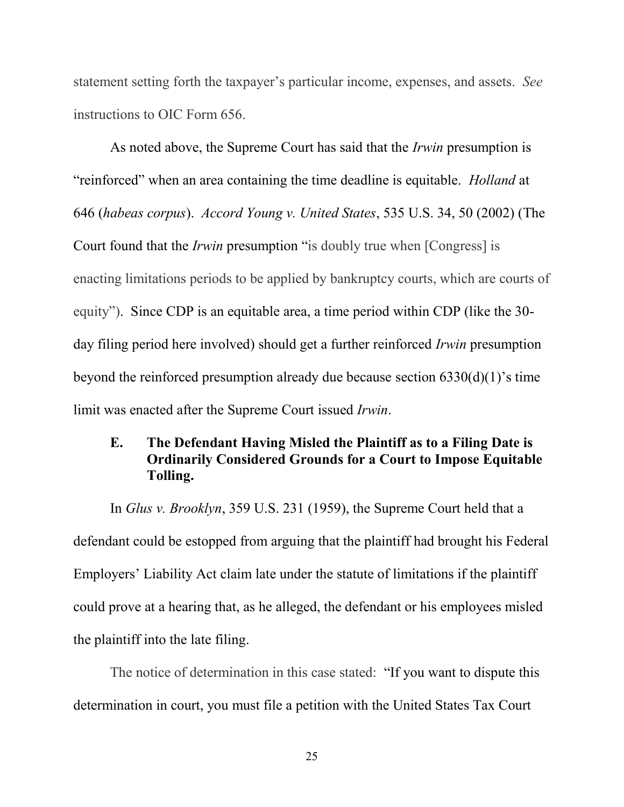statement setting forth the taxpayer's particular income, expenses, and assets. *See* instructions to OIC Form 656.

As noted above, the Supreme Court has said that the *Irwin* presumption is "reinforced" when an area containing the time deadline is equitable. *Holland* at 646 (*habeas corpus*). *Accord Young v. United States*, 535 U.S. 34, 50 (2002) (The Court found that the *Irwin* presumption "is doubly true when [Congress] is enacting limitations periods to be applied by bankruptcy courts, which are courts of equity"). Since CDP is an equitable area, a time period within CDP (like the 30 day filing period here involved) should get a further reinforced *Irwin* presumption beyond the reinforced presumption already due because section 6330(d)(1)'s time limit was enacted after the Supreme Court issued *Irwin*.

### **E. The Defendant Having Misled the Plaintiff as to a Filing Date is Ordinarily Considered Grounds for a Court to Impose Equitable Tolling.**

In *Glus v. Brooklyn*, 359 U.S. 231 (1959), the Supreme Court held that a defendant could be estopped from arguing that the plaintiff had brought his Federal Employers' Liability Act claim late under the statute of limitations if the plaintiff could prove at a hearing that, as he alleged, the defendant or his employees misled the plaintiff into the late filing.

The notice of determination in this case stated: "If you want to dispute this determination in court, you must file a petition with the United States Tax Court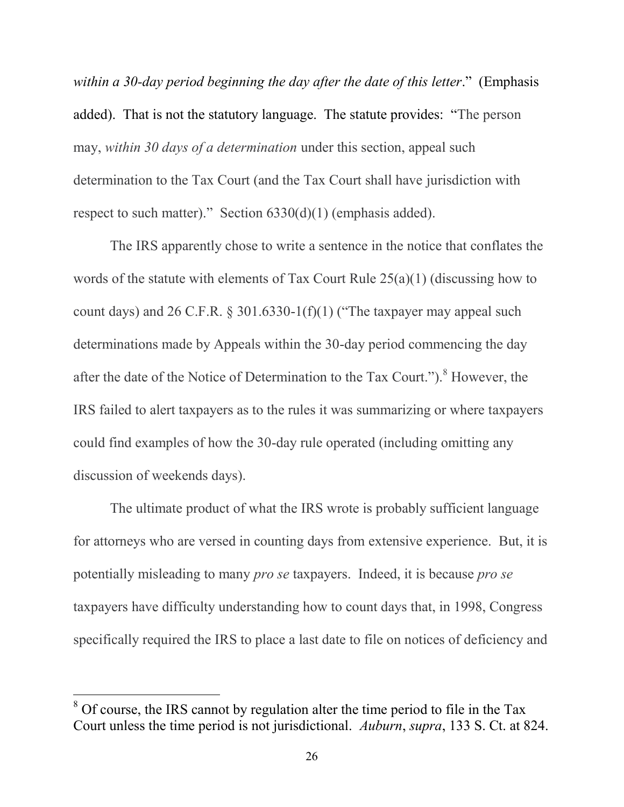*within a 30-day period beginning the day after the date of this letter*." (Emphasis added). That is not the statutory language. The statute provides: "The person may, *within 30 days of a determination* under this section, appeal such determination to the Tax Court (and the Tax Court shall have jurisdiction with respect to such matter)." Section 6330(d)(1) (emphasis added).

The IRS apparently chose to write a sentence in the notice that conflates the words of the statute with elements of Tax Court Rule 25(a)(1) (discussing how to count days) and 26 C.F.R.  $\S$  301.6330-1(f)(1) ("The taxpayer may appeal such determinations made by Appeals within the 30-day period commencing the day after the date of the Notice of Determination to the Tax Court.").<sup>8</sup> However, the IRS failed to alert taxpayers as to the rules it was summarizing or where taxpayers could find examples of how the 30-day rule operated (including omitting any discussion of weekends days).

The ultimate product of what the IRS wrote is probably sufficient language for attorneys who are versed in counting days from extensive experience. But, it is potentially misleading to many *pro se* taxpayers. Indeed, it is because *pro se* taxpayers have difficulty understanding how to count days that, in 1998, Congress specifically required the IRS to place a last date to file on notices of deficiency and

 $\overline{a}$ 

<sup>&</sup>lt;sup>8</sup> Of course, the IRS cannot by regulation alter the time period to file in the Tax Court unless the time period is not jurisdictional. *Auburn*, *supra*, 133 S. Ct. at 824.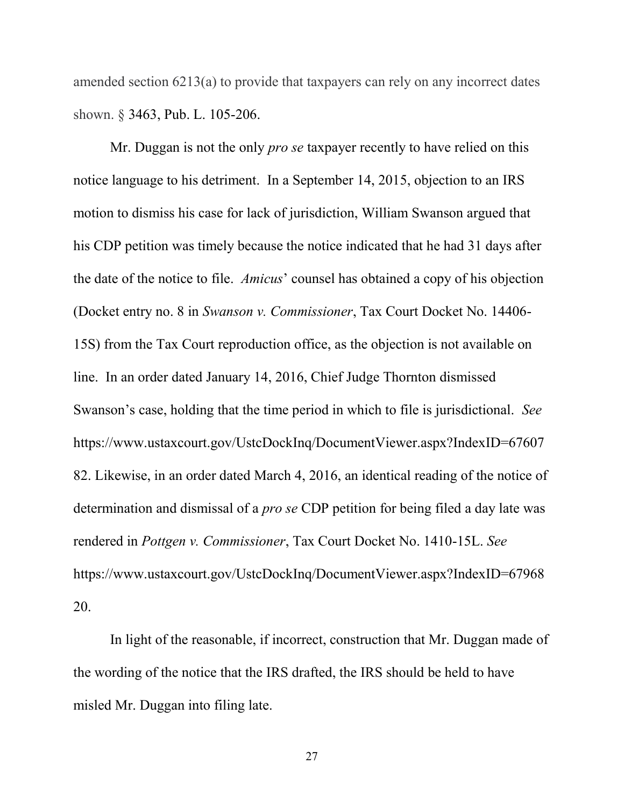amended section 6213(a) to provide that taxpayers can rely on any incorrect dates shown. § 3463, Pub. L. 105-206.

Mr. Duggan is not the only *pro se* taxpayer recently to have relied on this notice language to his detriment. In a September 14, 2015, objection to an IRS motion to dismiss his case for lack of jurisdiction, William Swanson argued that his CDP petition was timely because the notice indicated that he had 31 days after the date of the notice to file. *Amicus*' counsel has obtained a copy of his objection (Docket entry no. 8 in *Swanson v. Commissioner*, Tax Court Docket No. 14406- 15S) from the Tax Court reproduction office, as the objection is not available on line. In an order dated January 14, 2016, Chief Judge Thornton dismissed Swanson's case, holding that the time period in which to file is jurisdictional. *See* [https://www.ustaxcourt.gov/UstcDockInq/DocumentViewer.aspx?IndexID=67607](https://www.ustaxcourt.gov/UstcDockInq/DocumentViewer.aspx?IndexID=6760782) [82.](https://www.ustaxcourt.gov/UstcDockInq/DocumentViewer.aspx?IndexID=6760782) Likewise, in an order dated March 4, 2016, an identical reading of the notice of determination and dismissal of a *pro se* CDP petition for being filed a day late was rendered in *Pottgen v. Commissioner*, Tax Court Docket No. 1410-15L. *See* https://www.ustaxcourt.gov/UstcDockInq/DocumentViewer.aspx?IndexID=67968 20.

In light of the reasonable, if incorrect, construction that Mr. Duggan made of the wording of the notice that the IRS drafted, the IRS should be held to have misled Mr. Duggan into filing late.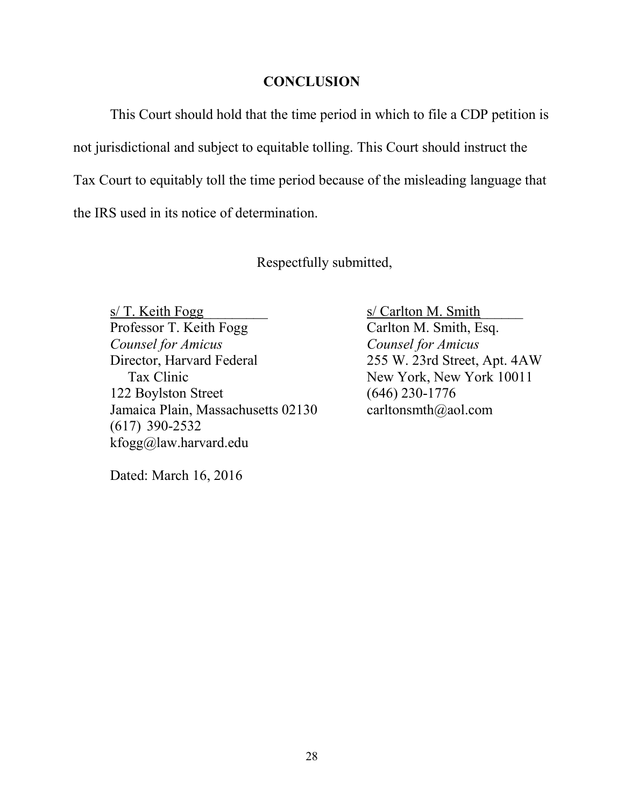#### **CONCLUSION**

This Court should hold that the time period in which to file a CDP petition is not jurisdictional and subject to equitable tolling. This Court should instruct the Tax Court to equitably toll the time period because of the misleading language that the IRS used in its notice of determination.

Respectfully submitted,

s/ T. Keith Fogg s/ Carlton M. Smith Professor T. Keith Fogg **Carlton M. Smith, Esq.** *Counsel for Amicus Counsel for Amicus*  Director, Harvard Federal 255 W. 23rd Street, Apt. 4AW Tax Clinic New York, New York 10011 122 Boylston Street (646) 230-1776 Jamaica Plain, Massachusetts 02130 [carltonsmth@aol.com](mailto:carltonsmth@aol.com) (617) 390-2532 kfogg@law.harvard.edu

Dated: March 16, 2016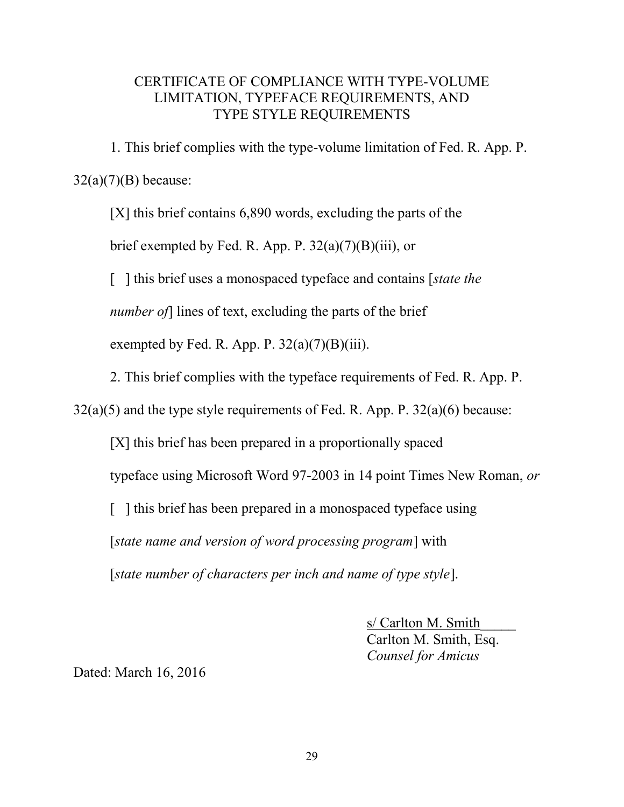#### CERTIFICATE OF COMPLIANCE WITH TYPE-VOLUME LIMITATION, TYPEFACE REQUIREMENTS, AND TYPE STYLE REQUIREMENTS

1. This brief complies with the type-volume limitation of Fed. R. App. P.  $32(a)(7)(B)$  because:

[X] this brief contains 6,890 words, excluding the parts of the brief exempted by Fed. R. App. P.  $32(a)(7)(B)(iii)$ , or [ ] this brief uses a monospaced typeface and contains [*state the number of*] lines of text, excluding the parts of the brief exempted by Fed. R. App. P.  $32(a)(7)(B)(iii)$ .

2. This brief complies with the typeface requirements of Fed. R. App. P.

 $32(a)(5)$  and the type style requirements of Fed. R. App. P.  $32(a)(6)$  because:

[X] this brief has been prepared in a proportionally spaced

typeface using Microsoft Word 97-2003 in 14 point Times New Roman, *or* 

[ ] this brief has been prepared in a monospaced typeface using

[*state name and version of word processing program*] with

[*state number of characters per inch and name of type style*].

s/ Carlton M. Smith\_\_\_\_\_ Carlton M. Smith, Esq. *Counsel for Amicus* 

Dated: March 16, 2016